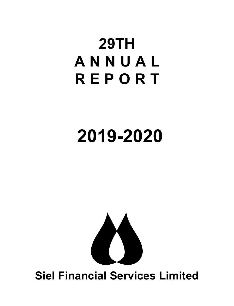# **29TH A N N U A L REPORT**

# **2019-2020**



# **Siel Financial Services Limited**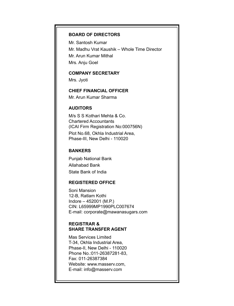#### **BOARD OF DIRECTORS**

Mr. Santosh Kumar Mr. Madhu Vrat Kaushik – Whole Time Director Mr. Arun Kumar Mithal Mrs. Anju Goel

#### **COMPANY SECRETARY**

Mrs. Jyoti

### **CHIEF FINANCIAL OFFICER**

Mr. Arun Kumar Sharma

#### **AUDITORS**

M/s S S Kothari Mehta & Co. Chartered Accountants (ICAI Firm Registration No:000756N) Plot No.68, Okhla Industrial Area, Phase-III, New Delhi - 110020

#### **BANKERS**

Punjab National Bank Allahabad Bank State Bank of India

#### **REGISTERED OFFICE**

Soni Mansion 12-B, Ratlam Kothi Indore – 452001 (M.P.) CIN: L65999MP1990PLC007674 E-mail: corporate@mawanasugars.com

#### **REGISTRAR & SHARE TRANSFER AGENT**

Mas Services Limited T-34, Okhla Industrial Area, Phase-II, New Delhi - 110020 Phone No.:011-26387281-83, Fax: 011-26387384 Website: www.masserv.com, E-mail: info@masserv.com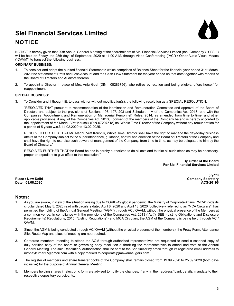

### **NOTICE**

NOTICE is hereby given that 29th Annual General Meeting of the shareholders of Siel Financial Services Limited (the "Company"/ "SFSL") will be held on Friday, the 25th day of September, 2020 at 11.00 A.M. through Video Conferencing ("VC") / Other Audio Visual Means ("OAVM") to transact the following business:

#### **ORDINARY BUSINESS:**

- 1. To consider and adopt the audited financial Statements which comprises of Balance Sheet for the financial year ended 31st March, 2020 the statement of Profit and Loss Account and the Cash Flow Statement for the year ended on that date together with reports of the Board of Directors and Auditors thereon.
- 2. To appoint a Director in place of Mrs. Anju Goel (DIN 08286756), who retires by rotation and being eligible, offers herself for reappointment.

#### **SPECIAL BUSINESS:**

3. To Consider and if thought fit, to pass with or without modification(s), the following resolution as a SPECIAL RESOLUTION:

"RESOLVED THAT pursuant to recommendation of the Nomination and Remuneration Committee and approval of the Board of Directors and subject to the provisions of Sections 196, 197, 203 and Schedule – V of the Companies Act, 2013 read with the Companies (Appointment and Remuneration of Managerial Personnel) Rules, 2014, as amended from time to time, and other applicable provisions, if any, of the Companies Act, 2013, consent of the members of the Company be and is hereby accorded to the appointment of Mr. Madhu Vrat Kaushik (DIN-07297518) as Whole Time Director of the Company without any remuneration for a period of 5 years w.e.f. 14.02.2020 to 13.02.2025.

 RESOLVED FURTHER THAT Mr. Madhu Vrat Kaushik, Whole Time Director shall have the right to manage the day-today business affairs of the Company subject to the superintendence, guidance, control and direction of the Board of Directors of the Company and shall have the right to exercise such powers of management of the Company, from time to time, as may be delegated to him by the Board of Directors."

 RESOLVED FURTHER THAT the Board be and is hereby authorized to do all acts and to take all such steps as may be necessary, proper or expedient to give effect to this resolution."

> **By Order of the Board For Siel Financial Services Limited**

**(Jyoti) Place : New Delhi Company Secretary Date : 08.08.2020 ACS-26196**

#### **Notes:**

- 1. As you are aware, in view of the situation arising due to COVID-19 global pandemic, the Ministry of Corporate Affairs ("MCA") vide its circular dated May 5, 2020 read with circulars dated April 8, 2020 and April 13, 2020 (collectively referred to as "MCA Circulars") has permitted the holding of the Annual General Meeting ("AGM") through VC / OAVM, without the physical presence of the Members at a common venue. In compliance with the provisions of the Companies Act, 2013 ("Act"), SEBI (Listing Obligations and Disclosure Requirements) Regulations, 2015 ("Listing Regulations") and MCA Circulars, the AGM of the Company is being held through VC / OAVM.
- 2. Since, the AGM is being conducted through VC/ OAVM (without the physical presence of the members), the Proxy Form, Attendance Slip, Route Map and place of meeting are not required.
- 3. Corporate members intending to attend the AGM through authorized representatives are requested to send a scanned copy of duly certified copy of the board or governing body resolution authorizing the representatives to attend and vote at the Annual General Meeting. The said Resolution/ Authorization shall be sent to the Scrutinizer by email through its registered email address to nirbhaykumar77@gmail.com with a copy marked to corporate@mawanasugars.com.
- 4. The register of members and share transfer books of the Company shall remain closed from 19.09.2020 to 25.09.2020 (both days inclusive) for the purpose of Annual General Meeting.
- 5. Members holding shares in electronic form are advised to notify the changes, if any, in their address/ bank details/ mandate to their respective depository participants.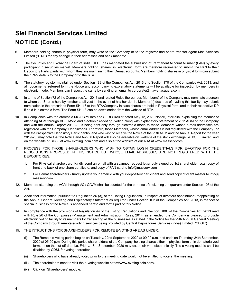### **NOTICE (Contd.)**

- 6. Members holding shares in physical form, may write to the Company or to the registrar and share transfer agent Mas Services Limited ("RTA") for any change in their addresses and bank mandate.
- 7. The Securities and Exchange Board of India (SEBI) has mandated the submission of Permanent Account Number (PAN) by every participant in securities market. Members holding shares in electronic form are therefore requested to submit the PAN to their Depository Participants with whom they are maintaining their Demat accounts. Members holding shares in physical form can submit their PAN details to the Company or to the RTA.
- 8. The statutory register maintained under Section 189 of the Companies Act, 2013 and Section 170 of the Companies Act, 2013, and all documents referred to in the Notice and accompanying explanatory statements will be available for inspection by members in electronic mode. Members can inspect the same by sending an email to corporate@mawanasugars.com.
- 9. In terms of Section 72 of the Companies Act, 2013 and related Rules thereunder, Member(s) of the Company may nominate a person to whom the Shares held by him/her shall vest in the event of his/ her death. Member(s) desirous of availing this facility may submit nomination in the prescribed Form SH- 13 to the RTA/Company in case shares are held in Physical form, and to their respective DP if held in electronic form. The Form SH-13 can be downloaded from the website of RTA.
- 10. In Compliance with the aforesaid MCA Circulars and SEBI Circular dated May 12, 2020 Notice, inter-alia, explaining the manner of attending AGM through VC/ OAVM and electronic (e-voting) voting along with explanatory statement of 29th AGM of the Company and with the Annual Report 2019-20 is being sent only through electronic mode to those Members whose e-mail addresses are registered with the Company/ Depositories. Therefore, those Members, whose email address is not registered with the Company or with their respective Depository Participant/s, and who wish to receive the Notice of the 29th AGM and the Annual Report for the year 2019-20, may note that the Notice and Annual Report will also be available on website of the stock exchange i.e. BSE Limited and on the website of CDSL at www.evoting.india.com and also at the website of our RTA at www.masserv.com.
- 11. PROCESS FOR THOSE SHAREHOLDERS WHO WISH TO OBTAIN LOGIN CREDENTIALS FOR E-VOTING FOR THE RESOLUTIONS PROPOSED IN THIS NOTICE BUT WHOSE EMAIL ADDRESSES ARE NOT REGISTERED WITH THE DEPOSITORIES:
	- 1. For Physical shareholders- Kindly send an email with a scanned request letter duly signed by 1st shareholder, scan copy of front and back of one share certificate, and copy of PAN card to info@masserv.com
	- 2. For Demat shareholders Kindly update your email id with your depository participant and send copy of client master to info@ masserv.com
- 12. Members attending the AGM through VC / OAVM shall be counted for the purpose of reckoning the quorum under Section 103 of the Act.
- 13. Additional information, pursuant to Regulation 36 (3), of the Listing Regulations, in respect of directors appointment/reappointing at the Annual General Meeting and Explanatory Statement as required under Section 102 of the Companies Act, 2013, in respect of special business of the Notice is appended hereto and forms part of this Notice.
- 14. In compliance with the provisions of Regulation 44 of the Listing Regulations and Section 108 of the Companies Act, 2013 read with Rule 20 of the Companies (Management and Administration) Rules, 2014, as amended, the Company is pleased to provide electronic voting facility to its members for transacting all the businesses as stated in the Notice for the 29th Annual General Meeting of the Company through remote e-voting services being provided by Central Depositories Services (India) Limited ("CDSL").

#### 15. THE INTRUCTIONS FOR SHAREHOLDERS FOR REMOTE E-VOTING ARE AS UNDER:

- (i) The Remote e-voting period begins on Tuesday, 22nd September, 2020 at 09:00 a.m. and ends on Thursday, 24th September, 2020 at 05:00 p.m. During this period shareholders' of the Company, holding shares either in physical form or in dematerialized form, as on the cut-off date i.e. Friday, 18th September, 2020 may cast their vote electronically. The e-voting module shall be disabled by CDSL for voting thereafter.
- (ii) Shareholders who have already voted prior to the meeting date would not be entitled to vote at the meeting.
- (iii) The shareholders need to visit the e-voting website https://www.evotingindia.com/.
- (iv) Click on "Shareholders" module.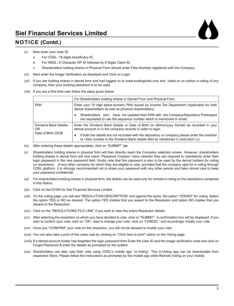### **NOTICE (Contd.)**



- (v) Now enter your User ID
	- a. For CDSL: 16 digits beneficiary ID,
	- b. For NSDL: 8 Character DP ID followed by 8 Digits Client ID,
	- c. Shareholders holding shares in Physical Form should enter Folio Number registered with the Company.
- (vi) Next enter the Image Verification as displayed and Click on Login.
- (vii) If you are holding shares in demat form and had logged on to www.evotingindia.com and voted on an earlier e-voting of any company, then your existing password is to be used.
- (viii) If you are a first time user follow the steps given below:

|                             | For Shareholders holding shares in Demat Form and Physical Form                                                                                                                      |
|-----------------------------|--------------------------------------------------------------------------------------------------------------------------------------------------------------------------------------|
| <b>PAN</b>                  | Enter your 10 digit alpha-numeric PAN issued by Income Tax Department (Applicable for both<br>demat shareholders as well as physical shareholders)                                   |
|                             | Shareholders who have not updated their PAN with the Company/Depository Participant<br>are requested to use the sequence number which is mentioned in email                          |
| Dividend Bank Details<br>0R | Enter the Dividend Bank Details or Date of Birth (in dd/mm/yyyy format) as recorded in your<br>demat account or in the company records in order to login.                            |
| Date of Birth (DOB          | If both the details are not recorded with the depository or company please enter the member<br>id / folio number in the Dividend Bank details field as mentioned in instruction (v). |

- (ix) After entering these details appropriately, click on "SUBMIT" tab.
- (x) Shareholders holding shares in physical form will then directly reach the Company selection screen. However, shareholders holding shares in demat form will now reach 'Password Creation' menu wherein they are required to mandatorily enter their login password in the new password field. Kindly note that this password is also to be used by the demat holders for voting on resolutions of any other company for which they are eligible to vote, provided that the company opts for e-voting through CDSL platform. It is strongly recommended not to share your password with any other person and take utmost care to keep your password confidential.
- (xi) For shareholders holding shares in physical form, the details can be used only for remote e-voting on the resolutions contained in this Notice.
- (xii) Click on the EVSN for Siel Financial Services Limited.
- (xiii) On the voting page, you will see "RESOLUTION DESCRIPTION" and against the same, the option "YES/NO" for voting. Select the option YES or NO as desired. The option YES implies that you assent to the Resolution and option NO implies that you dissent to the Resolution.
- (xiv) Click on the "RESOLUTIONS FILE LINK" if you wish to view the entire Resolution details.
- (xv) After selecting the resolution on which you have decided to vote, click on "SUBMIT". A confirmation box will be displayed. If you wish to confirm your vote, click on "OK", else to change your vote, click on "CANCEL" and accordingly modify your vote.
- (xvi) Once you "CONFIRM" your vote on the resolution, you will not be allowed to modify your vote.
- (xvii) You can also take a print of the votes cast by clicking on "Click here to print" option on the Voting page.
- (xviii) If a demat account holder has forgotten the login password then Enter the User ID and the image verification code and click on Forgot Password & enter the details as prompted by the system.
- (xix) Shareholders can also cast their vote using CDSL's mobile app "m-Voting". The m-Voting app can be downloaded from respective Store. Please follow the instructions as prompted by the mobile app while Remote Voting on your mobile.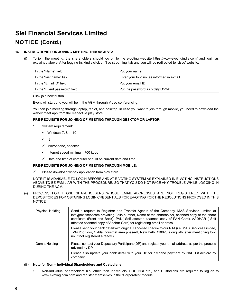### **NOTICE (Contd.)**

#### 16. **INSTRUCTIONS FOR JOINING MEETING THROUGH VC:**

(i) To join the meeting, the shareholders should log on to the e-voting website https://www.evotingindia.com/ and login as explained above. After logging-in, kindly click on 'live streaming' tab and you will be redirected to 'cisco' website.

| In the "Name" field           | Put your name.                             |
|-------------------------------|--------------------------------------------|
| In the "last name" field      | Enter your folio no. as informed in e-mail |
| In the "Email ID" field       | Put your email ID                          |
| In the "Event password" field | Put the password as "cds $@1234"$          |

Click join now button.

Event will start and you will be in the AGM through Video conferencing.

 You can join meeting through laptop, tablet, and desktop. In case you want to join through mobile, you need to download the webex meet app from the respective play store .

#### **PRE-REQUISITE FOR JOINING OF MEETING THROUGH DESKTOP OR LAPTOP:**

- 1. System requirement:
	- $\checkmark$  Windows 7, 8 or 10
	- $\sqrt{ }$  13
	- $\checkmark$  Microphone, speaker
	- $\checkmark$  Internet speed minimum 700 kbps
	- $\checkmark$  Date and time of computer should be current date and time

#### **PRE-REQUISITE FOR JOINING OF MEETING THROUGH MOBILE:**

Please download webex application from play store

 NOTE:IT IS ADVISABLE TO LOGIN BEFORE AND AT E-VOTING SYSTEM AS EXPLAINED IN E-VOTING INSTRUCTIONS ABOVE,TO BE FAMILIAR WITH THE PROCEDURE, SO THAT YOU DO NOT FACE ANY TROUBLE WHILE LOGGING-IN DURING THE AGM.

(ii) PROCESS FOR THOSE SHAREHOLDERS WHOSE EMAIL ADDRESSES ARE NOT REGISTERED WITH THE DEPOSITORIES FOR OBTAINING LOGIN CREDENTIALS FOR E-VOTING FOR THE RESOLUTIONS PROPOSED IN THIS NOTICE:

| <b>Physical Holding</b> | Send a request to Registrar and Transfer Agents of the Company, MAS Services Limited at<br>info@masserv.com providing Folio number, Name of the shareholder, scanned copy of the share<br>certificate (Front and Back), PAN( Self attested scanned copy of PAN Card), AADHAR ( Self<br>attested scanned copy of Aadhar Card) for registering email address. |
|-------------------------|-------------------------------------------------------------------------------------------------------------------------------------------------------------------------------------------------------------------------------------------------------------------------------------------------------------------------------------------------------------|
|                         | Please send your bank detail with original cancelled cheque to our RTA (i.e. MAS Services Limited,<br>T-34 2nd floor, Okhla industrial area phase-II, New Delhi 110020 alongwith letter mentioning folio<br>no. if not registered already.)                                                                                                                 |
| Demat Holding           | Please contact your Depositary Participant (DP) and register your email address as per the process<br>advised by DP.                                                                                                                                                                                                                                        |
|                         | Please also update your bank detail with your DP for dividend payment by NACH if declare by<br>company.                                                                                                                                                                                                                                                     |

#### (iii) **Note for Non – Individual Shareholders and Custodians**

Non-Individual shareholders (i.e. other than Individuals, HUF, NRI etc.) and Custodians are required to log on to www.evotingindia.com and register themselves in the "Corporates" module.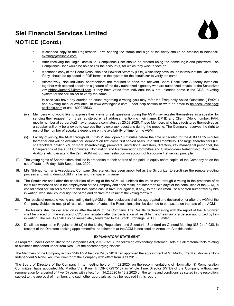

### **NOTICE (Contd.)**

- A scanned copy of the Registration Form bearing the stamp and sign of the entity should be emailed to helpdesk. evoting@cdslindia.com.
- After receiving the login details a Compliance User should be created using the admin login and password. The Compliance User would be able to link the account(s) for which they wish to vote on.
- A scanned copy of the Board Resolution and Power of Attorney (POA) which they have issued in favour of the Custodian, if any, should be uploaded in PDF format in the system for the scrutinizer to verify the same.
- Alternatively, Non Individual shareholders are required to send the relevant Board Resolution/ Authority letter etc. together with attested specimen signature of the duly authorized signatory who are authorized to vote, to the Scrutinizer viz: nirbhaykumar77@gmail.com, if they have voted from individual tab & not uploaded same in the CDSL e-voting system for the scrutinizer to verify the same.

 In case you have any queries or issues regarding e-voting, you may refer the Frequently Asked Questions ("FAQs") and e-voting manual available at www.evotingindia.com, under help section or write an email to helpdesk.evoting@ cdslindia.com or call 1800225533.

- (iv) Members who would like to express their views or ask questions during the AGM may register themselves as a speaker by sending their request from their registered email address mentioning their name, DP ID and Client ID/folio number, PAN, mobile number at corporate@mawanasugars.com latest by 20.09.2020. Those Members who have registered themselves as a speaker will only be allowed to express their views/ ask questions during the meeting. The Company reserves the right to restrict the number of speakers depending on the availability of time for the AGM.
- (v) Facility of joining the AGM through VC / OAVM shall open 15 minutes before the time scheduled for the AGM till 15 minutes thereafter and will be available for Members on first come first served basis upto 1000 members. The large shareholders (i.e. shareholders holding 2% or more shareholding), promoters, institutional investors, directors, key managerial personnel, the Chairpersons of the Audit Committee, Nomination and Remuneration Committee and Stakeholders Relationship Committee, Auditors, etc. can attend the 29th AGM without any restriction on account of first-come first served principle.
- 17. The voting rights of Shareholders shall be in proportion to their shares of the paid up equity share capital of the Company as on the cut-off date i.e Friday, 18th September, 2020.
- 18. M/s Nirbhay Kumar & Associates, Company Secretaries, has been appointed as the Scrutinizer to scrutinize the remote e-voting process and voting during AGM in a fair and transparent manner.
- 19. The Scrutinizer shall after the conclusion of voting at the AGM, will unblock the votes cast through e-voting in the presence of at least two witnesses not in the employment of the Company and shall make, not later than two days of the conclusion of the AGM, a consolidated scrutinizer's report of the total votes cast in favour or against, if any, to the Chairman or a person authorized by him in writing, who shall countersign the same and declare the result of the voting forthwith.
- 20. The results of remote e-voting and voting during AGM on the resolutions shall be aggregated and declared on or after the AGM of the Company. Subject to receipt of requisite number of votes, the Resolutions shall be deemed to be passed on the date of the AGM.
- 21. The Results shall be declared on or after the AGM of the Company. The Results declared along with the report of the Scrutinizer shall be placed on the website of CDSL immediately after the declaration of result by the Chairman or a person authorized by him in writing. The results shall also be immediately forwarded to the Stock Exchange i.e BSE Limited.
- 22. Details as required in Regulation 36 (3) of the Listing Regulations and Secretarial Standard on General Meeting (SS-2) of ICSI, in respect of the Directors seeking appointment/re- appointment at the AGM is enclosed as Annexure-A to this notice.

#### **EXPLANATORY STATEMENT**

As required under Section 102 of the Companies Act, 2013 ("Act"), the following explanatory statement sets out all material facts relating to business mentioned under Item Nos. 3 of the accompanying Notice:

The Members of the Company in their 25th AGM held on 29.09.2016 had approved the appointment of Mr. Madhu Vrat Kaushik as a Non-Independent & Non-Executive Director of the Company with effect from 9.11.2015.

The Board of Directors of the Company in its meeting held on 14.02.2020, on the recommendations of Nomination & Remuneration Committee, have appointed Mr. Madhu Vrat Kaushik (DIN-07297518) as Whole Time Director (WTD) of the Company without any remuneration for a period of Five (5) years with effect from 14.2.2020 to 13.2.2025 on the terms and conditions as stated in the resolution, subject to the approval of members and such other approvals as may be required in this regard.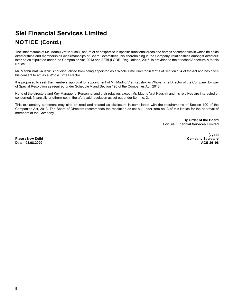### **NOTICE (Contd.)**

The Brief resume of Mr. Madhu Vrat Kaushik, nature of her expertise in specific functional areas and names of companies in which he holds directorships and memberships /chairmanships of Board Committees, his shareholding in the Company, relationships amongst directors' inter-se as stipulated under the Companies Act, 2013 and SEBI (LODR) Regulations, 2015, is provided to the attached Annexure-A to this Notice.

Mr. Madhu Vrat Kaushik is not disqualified from being appointed as a Whole Time Director in terms of Section 164 of the Act and has given his consent to act as a Whole Time Director.

It is proposed to seek the members' approval for appointment of Mr. Madhu Vrat Kaushik as Whole Time Director of the Company, by way of Special Resolution as required under Schedule V and Section 196 of the Companies Act, 2013.

None of the directors and Key Managerial Personnel and their relatives except Mr. Madhu Vrat Kaushik and his relatives are interested or concerned, financially or otherwise, in the aforesaid resolution as set out under item no. 3.

This explanatory statement may also be read and treated as disclosure in compliance with the requirements of Section 190 of the Companies Act, 2013. The Board of Directors recommends the resolution as set out under item no. 3 of this Notice for the approval of members of the Company.

> **By Order of the Board For Siel Financial Services Limited**

**(Jyoti) Place : New Delhi Company Secretary Company Secretary Date : 08.08.2020 ACS-26196**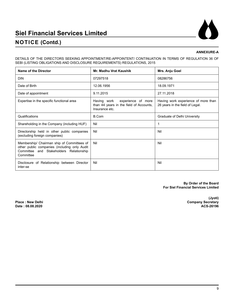### **NOTICE (Contd.)**

#### **ANNEXURE-A**

DETAILS OF THE DIRECTORS SEEKING APPOINTMENT/RE-APPOINTENT/ CONTINUATION IN TERMS OF REGULATION 36 OF SEBI (LISTING OBLIGATIONS AND DISCLOSURE REQUIREMENTS) REGULATIONS, 2015

| Name of the Director                                                                                                                               | Mr. Madhu Vrat Kaushik                                                                         | Mrs. Anju Goel                                                         |
|----------------------------------------------------------------------------------------------------------------------------------------------------|------------------------------------------------------------------------------------------------|------------------------------------------------------------------------|
| <b>DIN</b>                                                                                                                                         | 07297518                                                                                       | 08286756                                                               |
| Date of Birth                                                                                                                                      | 12.06.1956                                                                                     | 18.09.1971                                                             |
| Date of appointment                                                                                                                                | 9.11.2015                                                                                      | 27.11.2018                                                             |
| Expertise in the specific functional area                                                                                                          | experience of more<br>Having work<br>than 44 years in the field of Accounts,<br>Insurance etc. | Having work experience of more than<br>26 years in the field of Legal. |
| Qualifications                                                                                                                                     | B.Com                                                                                          | Graduate of Delhi University                                           |
| Shareholding in the Company (including HUF)                                                                                                        | Nil                                                                                            | 1                                                                      |
| Directorship held in other public companies<br>(excluding foreign companies)                                                                       | Nil                                                                                            | Nil                                                                    |
| Membership/ Chairman ship of Committees of<br>other public companies (including only Audit<br>Committee and Stakeholders Relationship<br>Committee | Nil                                                                                            | Nil                                                                    |
| Disclosure of Relationship between Director<br>inter-se                                                                                            | Nil                                                                                            | Nil                                                                    |

**By Order of the Board For Siel Financial Services Limited**

Date: 08.08.2020

**(Jyoti) Place : New Delhi Company Secretary**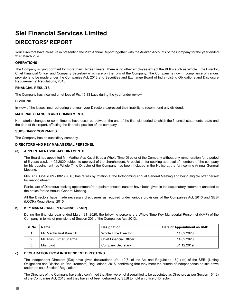### **DIRECTORS' REPORT**

Your Directors have pleasure in presenting the 29th Annual Report together with the Audited Accounts of the Company for the year ended 31st March 2020.

#### **OPERATIONS**

The Company is lying dormant for more than Thirteen years. There is no other employee except the KMPs such as Whole Time Director, Chief Financial Officer and Company Secretary which are on the rolls of the Company. The Company is now in compliance of various provisions to be made under the Companies Act, 2013 and Securities and Exchange Board of India (Listing Obligations and Disclosure Requirements) Regulations, 2015.

#### **FINANCIAL RESULTS**

The Company has incurred a net loss of Rs. 15.83 Lacs during the year under review.

#### **DIVIDEND**

In view of the losses incurred during the year, your Directors expressed their inability to recommend any dividend.

#### **MATERIAL CHANGES AND COMMITMENTS**

No material changes or commitments have occurred between the end of the financial period to which the financial statements relate and the date of this report, affecting the financial position of the company.

#### **SUBSIDIARY COMPANIES**

The Company has no subsidiary company.

#### **DIRECTORS AND KEY MANAGERIAL PERSONEL**

#### **(a) APPOINTMENTS/RE-APPOINTMENTS**

The Board has appointed Mr. Madhu Vrat Kaushik as a Whole Time Director of the Company without any remuneration for a period of 5 years w.e.f. 14.02.2020 subject to approval of the shareholders. A resolution for seeking approval of members of the company for his appointment as Whole Time Director of the Company has been included in the Notice at the forthcoming Annual General Meeting.

Mrs. Anju Goel (DIN - 08286756 ) has retires by rotation at the forthcoming Annual General Meeting and being eligible offer herself for reappointment.

Particulars of Director/s seeking appointment/re-appointment/continuation have been given in the explanatory statement annexed to the notice for the Annual General Meeting.

All the Directors have made necessary disclosures as required under various provisions of the Companies Act, 2013 and SEBI (LODR) Regulations, 2015.

#### **b) KEY MANAGERIAL PERSONNEL (KMP)**

 During the financial year ended March 31, 2020, the following persons are Whole Time Key Managerial Personnel (KMP) of the Company in terms of provisions of Section 203 of the Companies Act, 2013:

| SI. No. | Name                   | Designation                    | Date of Appointment as KMP |  |
|---------|------------------------|--------------------------------|----------------------------|--|
|         | Mr. Madhu Vrat Kaushik | Whole Time Director            | 14.02.2020                 |  |
|         | Mr. Arun Kumar Sharma  | <b>Chief Financial Officer</b> | 14.02.2020                 |  |
|         | Mrs. Jvoti             | Company Secretary              | 31.12.2019                 |  |

#### **c) DECLARATION FROM INDEPENDENT DIRECTORS**

The Independent Directors (IDs) have given declarations u/s 149(6) of the Act and Regulation 16(1) (b) of the SEBI (Listing Obligations and Disclosure Requirements) Regulations, 2015, confirming that they meet the criteria of independence as laid down under the said Section/ Regulation.

 The Directors of the Company have also confirmed that they were not disqualified to be appointed as Directors as per Section 164(2) of the Companies Act, 2013 and they have not been debarred by SEBI to hold an office of Director.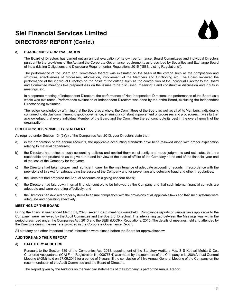

### **DIRECTORS' REPORT (Contd.)**

#### **d) BOARD/DIRECTORS' EVALUATION**

The Board of Directors has carried out an annual evaluation of its own performance, Board Committees and individual Directors pursuant to the provisions of the Act and the Corporate Governance requirements as prescribed by Securities and Exchange Board of India (Listing Obligations and Disclosure Requirements), Regulations 2015 ("SEBI Listing Regulations").

The performance of the Board and Committees thereof was evaluated on the basis of the criteria such as the composition and structure, effectiveness of processes, information, involvement of the Members and functioning etc. The Board reviewed the performance of the individual Directors on the basis of the criteria such as the contribution of the individual Director to the Board and Committee meetings like preparedness on the issues to be discussed, meaningful and constructive discussion and inputs in meetings, etc.

In a separate meeting of Independent Directors, the performance of Non-Independent Directors, the performance of the Board as a whole was evaluated. Performance evaluation of Independent Directors was done by the entire Board, excluding the Independent Director being evaluated.

 The review concluded by affirming that the Board as a whole, the Committees of the Board as well as all of its Members, individually, continued to display commitment to good governance, ensuring a constant improvement of processes and procedures. It was further acknowledged that every individual Member of the Board and the Committee thereof contribute its best in the overall growth of the organization.

#### **DIRECTORS' RESPONSIBILITY STATEMENT**

As required under Section 134(3)(c) of the Companies Act, 2013, your Directors state that:

- a) in the preparation of the annual accounts, the applicable accounting standards have been followed along with proper explanation relating to material departures;
- b) the Directors had selected such accounting policies and applied them consistently and made judgments and estimates that are reasonable and prudent so as to give a true and fair view of the state of affairs of the Company at the end of the financial year and of the loss of the Company for that year;
- c) the Directors had taken proper and sufficient care for the maintenance of adequate accounting records in accordance with the provisions of this Act for safeguarding the assets of the Company and for preventing and detecting fraud and other irregularities;
- d) the Directors had prepared the Annual Accounts on a going concern basis;
- e) the Directors had laid down internal financial controls to be followed by the Company and that such internal financial controls are adequate and were operating effectively; and
- f) the Directors had devised proper systems to ensure compliance with the provisions of all applicable laws and that such systems were adequate and operating effectively.

#### **MEETINGS OF THE BOARD**

During the financial year ended March 31, 2020, seven Board meetings were held. Compliance reports of various laws applicable to the Company were reviewed by the Audit Committee and the Board of Directors. The intervening gap between the Meetings was within the period prescribed under the Companies Act, 2013 and the SEBI (LODR), Regulations, 2015. The details of meetings held and attended by the Directors during the year are provided in the Corporate Governance Report.

All statutory and other important items/ information were placed before the Board for approval/review.

#### **AUDITORS AND THEIR REPORT**

#### **a) STATUTORY AUDITORS**

Pursuant to the Section 139 of the Companies Act, 2013, appointment of the Statutory Auditors M/s. S S Kothari Mehta & Co., Chartered Accountants (ICAI Firm Registration No:000756N) was made by the members of the Company in its 28th Annual General Meeting (AGM) held on 27.09.2019 for a period of 5 years till the conclusion of 33rd Annual General Meeting of the Company on the recommendation of the Audit Committee and the Board of Directors.

 The Report given by the Auditors on the financial statements of the Company is part of the Annual Report.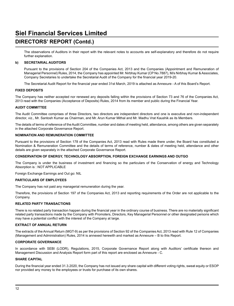### **DIRECTORS' REPORT (Contd.)**

The observations of Auditors in their report with the relevant notes to accounts are self-explanatory and therefore do not require further explanation.

#### **b) SECRETARIAL AUDITORS**

Pursuant to the provisions of Section 204 of the Companies Act, 2013 and the Companies (Appointment and Remuneration of Managerial Personnel) Rules, 2014, the Company has appointed Mr. Nirbhay Kumar (CP No.7887), M/s Nirbhay Kumar & Associates, Company Secretaries to undertake the Secretarial Audit of the Company for the financial year 2019-20.

 The Secretarial Audit Report for the financial year ended 31st March, 2019 is attached as Annexure - A of this Board's Report.

#### **FIXED DEPOSITS**

The Company has neither accepted nor renewed any deposits falling within the provisions of Section 73 and 76 of the Companies Act, 2013 read with the Companies (Acceptance of Deposits) Rules, 2014 from its member and public during the Financial Year.

#### **AUDIT COMMITTEE**

The Audit Committee comprises of three Directors, two directors are independent directors and one is executive and non-independent director, viz., Mr. Santosh Kumar as Chairman, and Mr. Arun Kumar Mithal and Mr. Madhu Vrat Kaushik as its Members.

The details of terms of reference of the Audit Committee, number and dates of meeting held, attendance, among others are given separately in the attached Corporate Governance Report.

#### **NOMINATION AND REMUNERATION COMMITTEE**

Pursuant to the provisions of Section 178 of the Companies Act, 2013 read with Rules made there under, the Board has constituted a Nomination & Remuneration Committee and the details of terms of reference, number & dates of meeting held, attendance and other details are given separately in the attached Corporate Governance Report.

#### **CONSERVATION OF ENERGY, TECHNOLOGY ABSORPTION, FOREIGN EXCHANGE EARNINGS AND OUTGO**

The Company is under the business of investment and financing so the particulars of the Conservation of energy and Technology Absorption is : NOT APPLICABLE

Foreign Exchange Earnings and Out go: NIL

#### **PARTICULARS OF EMPLOYEES**

The Company has not paid any managerial remuneration during the year.

Therefore, the provisions of Section 197 of the Companies Act, 2013 and reporting requirements of the Order are not applicable to the Company.

#### **RELATED PARTY TRANSACTIONS**

There is no related party transaction happen during the financial year in the ordinary course of business. There are no materially significant related party transactions made by the Company with Promoters, Directors, Key Managerial Personnel or other designated persons which may have a potential conflict with the interest of the Company at large.

#### **EXTRACT OF ANNUAL RETURN**

The extracts of the Annual Return (MGT-9) as per the provisions of Section 92 of the Companies Act, 2013 read with Rule 12 of Companies (Management and Administration) Rules, 2014 is annexed herewith and marked as Annexure – B to this Report.

#### **CORPORATE GOVERNANCE**

In accordance with SEBI (LODR), Regulations, 2015, Corporate Governance Report along with Auditors' certificate thereon and Management Discussion and Analysis Report form part of this report are enclosed as Annexure - C.

#### **SHARE CAPITAL**

During the financial year ended 31.3.2020, the Company has not issued any share capital with different voting rights, sweat equity or ESOP nor provided any money to the employees or trusts for purchase of its own shares.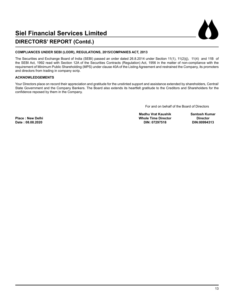

### **DIRECTORS' REPORT (Contd.)**

#### **COMPLIANCES UNDER SEBI (LODR), REGULATIONS, 2015/COMPANIES ACT, 2013**

The Securities and Exchange Board of India (SEBI) passed an order dated 26.8.2014 under Section 11(1), 11(2)(j), 11(4) and 11B of the SEBI Act, 1992 read with Section 12A of the Securities Contracts (Regulation) Act, 1956 in the matter of non-compliance with the requirement of Minimum Public Shareholding (MPS) under clause 40A of the Listing Agreement and restrained the Company, its promoters and directors from trading in company scrip.

#### **ACKNOWLEDGEMENTS**

Your Directors place on record their appreciation and gratitude for the unstinted support and assistance extended by shareholders, Central/ State Government and the Company Bankers. The Board also extends its heartfelt gratitude to the Creditors and Shareholders for the confidence reposed by them in the Company.

For and on behalf of the Board of Directors

 **Madhu Vrat Kaushik Santosh Kumar Place : New Delhi Whole Time Director Director**

 $Date: 08.08.2020$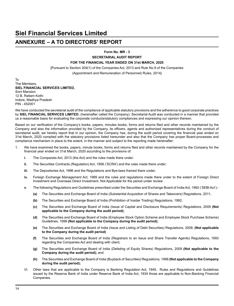### **ANNEXURE – A TO DIRECTORS' REPORT**

**Form No. MR - 3**

**SECRETARIAL AUDIT REPORT**

#### **FOR THE FINANCIAL YEAR ENDED ON 31st MARCH, 2020**

[Pursuant to Section 204(1) of the Companies Act, 2013 and Rule No.9 of the Companies

(Appointment and Remuneration of Personnel) Rules, 2014]

To The Members, **SIEL FINANCIAL SERVICES LIMITED,** Soni Mansion 12 B, Ratlam Kothi Indore, Madhya Pradesh PIN - 452001

We have conducted the secretarial audit of the compliance of applicable statutory provisions and the adherence to good corporate practices by **SIEL FINANCIAL SERVICES LIMITED**, (hereinafter called the Company). Secretarial Audit was conducted in a manner that provided us a reasonable basis for evaluating the corporate conducts/statutory compliances and expressing our opinion thereon.

Based on our verification of the Company's books, papers, minutes books, forms and returns filed and other records maintained by the Company and also the information provided by the Company, its officers, agents and authorized representatives during the conduct of secretarial audit, we hereby report that in our opinion, the Company has, during the audit period covering the financial year ended on 31st March, 2020 complied with the statutory provisions listed hereunder and also that the Company has proper Board-processes and compliance mechanism in place to the extent, in the manner and subject to the reporting made hereinafter:

- 1. We have examined the books, papers, minute books, forms and returns filed and other records maintained by the Company for the financial year ended on 31st March, 2020 according to the provisions of:
	- **i.** The Companies Act, 2013 (the Act) and the rules made there under.
	- **ii.** The Securities Contracts (Regulation) Act, 1956 ('SCRA') and the rules made there under;
	- **iii.** The Depositories Act, 1996 and the Regulations and Bye-laws framed there under;
	- **iv.** Foreign Exchange Management Act, 1999 and the rules and regulations made there under to the extent of Foreign Direct Investment and Overseas Direct Investment. Not Applicable for the period under review
	- **v.** The following Regulations and Guidelines prescribed under the Securities and Exchange Board of India Act, 1992 ('SEBI Act'):-
		- **(a)** The Securities and Exchange Board of India (Substantial Acquisition of Shares and Takeovers) Regulations, 2011;
		- **(b)** The Securities and Exchange Board of India (Prohibition of Insider Trading) Regulations, 1992;
		- **(c)** The Securities and Exchange Board of India (Issue of Capital and Disclosure Requirements) Regulations, 2009 **(Not applicable to the Company during the audit period);**
		- **(d)** The Securities and Exchange Board of India (Employee Stock Option Scheme and Employee Stock Purchase Scheme) Guidelines, 1999 **(Not applicable to the Company during the audit period);**
		- **(e)** The Securities and Exchange Board of India (Issue and Listing of Debt Securities) Regulations, 2008; **(Not applicable to the Company during the audit period)**
		- **(f)** The Securities and Exchange Board of India (Registrars to an Issue and Share Transfer Agents) Regulations, 1993 regarding the Companies Act and dealing with client;
		- **(g)** The Securities and Exchange Board of India (Delisting of Equity Shares) Regulations, 2009 **(Not applicable to the Company during the audit period);** and
		- **(h)** The Securities and Exchange Board of India (Buyback of Securities) Regulations, 1998 **(Not applicable to the Company during the audit period);**
	- VI. Other laws that are applicable to the Company is Banking Regulation Act, 1949, Rules and Regulations and Guidelines issued by the Reserve Bank of India under Reserve Bank of India Act, 1934 those are applicable to Non-Banking Financial Companies.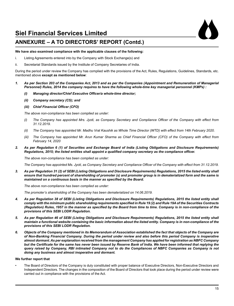### **ANNEXURE – A TO DIRECTORS' REPORT (Contd.)**

#### **We have also examined compliance with the applicable clauses of the following:**

- i. Listing Agreements entered into by the Company with Stock Exchange(s) and
- ii. Secretarial Standards issued by the Institute of Company Secretaries of India.

During the period under review the Company has complied with the provisions of the Act, Rules, Regulations, Guidelines, Standards, etc. mentioned above **except as mentioned below**:

- *1. As per Section 203 of the Companies Act, 2013 and as per the Companies (Appointment and Remuneration of Managerial Personnel) Rules, 2014 the company requires to have the following whole-time key managerial personnel (KMPs) :*
	- *(i) Managing director/Chief Executive Officer/a whole-time director;*
	- *(ii) Company secretary (CS); and*
	- *(iii) Chief Financial Officer (CFO)*

*The above non-compliance has been complied as under:*

- (i) The Company has appointed Mrs. Jyoti, as Company Secretary and Compliance Officer of the Company with effect from *31.12.2019.*
- (ii) The Company has appointed Mr. Madhu Vrat Kaushik as Whole Time Director (WTD) with effect from 14th February 2020.
- (iii) The Company has appointed Mr. Arun Kumar Sharma as Chief Financial Officer (CFO) of the Company with effect from *February 14, 2020*
- *2. As per Regulation 6 (1) of Securities and Exchange Board of India (Listing Obligations and Disclosure Requirements) Regulations, 2015; the listed entities shall appoint a qualified company secretary as the compliance officer.*

*The above non-compliance has been complied as under:*

The Company has appointed Ms. Jyoti, as Company Secretary and Compliance Officer of the Company with effect from 31.12.2019.

*3. As per Regulation 31 (2) of SEBI (Listing Obligations and Disclosure Requirements) Regulations, 2015 the listed entity shall ensure that hundred percent of shareholding of promoter (s) and promoter group is in dematerialized form and the same is maintained on a continuous basis in the manner as specified by the Board.*

*The above non-compliance has been complied as under:*

 *The promoter's shareholding of the Company has been dematerialized on 14.06.2019.*

- *4. As per Regulation 38 of SEBI (Listing Obligations and Disclosure Requirements) Regulations, 2015 the listed entity shall*  comply with the minimum public shareholding requirements specified in Rule 19 (2) and Rule 19A of the Securities Contracts (Regulation) Rules, 1957 in the manner as specified by the Board from time to time. Company is in non-compliance of the *provisions of this SEBI LODR Regulation.*
- *5. As per Regulation 46 of SEBI (Listing Obligations and Disclosure Requirements) Regulations, 2015 the listed entity shall maintain a functional website containing the basic information about the listed entity. Company is in non-compliance of the provisions of this SEBI LODR Regulation.*
- *6. Objects of the Company mentioned in its Memorandum of Association established the fact that objects of the Company are*  of Non-Banking Financial Company. During the period under review and also before this period Company is inoperative *almost dormant. As per explanation received from the management Company has applied for registration as NBFC Company*  but the Certificate for the same has never been issued by Reserve Bank of India. We have been informed that replying the *query raised by Company, RBI intimated Company not to do the Compliances of NBFC Companies as Company is not doing any business and almost inoperative and dormant.*

#### **We further report that**

• The Board of Directors of the Company is duly constituted with proper balance of Executive Directors, Non-Executive Directors and Independent Directors. The changes in the composition of the Board of Directors that took place during the period under review were carried out in compliance with the provisions of the Act.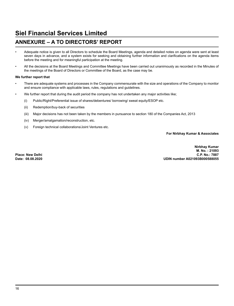### **ANNEXURE – A TO DIRECTORS' REPORT**

- Adequate notice is given to all Directors to schedule the Board Meetings, agenda and detailed notes on agenda were sent at least seven days in advance, and a system exists for seeking and obtaining further information and clarifications on the agenda items before the meeting and for meaningful participation at the meeting.
- All the decisions at the Board Meetings and Committee Meetings have been carried out unanimously as recorded in the Minutes of the meetings of the Board of Directors or Committee of the Board, as the case may be.

#### **We further report that**

- There are adequate systems and processes in the Company commensurate with the size and operations of the Company to monitor and ensure compliance with applicable laws, rules, regulations and guidelines.
- We further report that during the audit period the company has not undertaken any major activities like;
	- (i) Public/Right/Preferential issue of shares/debentures/ borrowing/ sweat equity/ESOP etc.
	- (ii) Redemption/buy-back of securities
	- (iii) Major decisions has not been taken by the members in pursuance to section 180 of the Companies Act, 2013
	- (iv) Merger/amalgamation/reconstruction, etc.
	- (v) Foreign technical collaborations/Joint Ventures etc.

**For Nirbhay Kumar & Associates**

**Nirbhay Kumar M. No. : 21093 Place: New Delhi C.P. No.: 7887 Date: 08.08.2020 UDIN number A021093B000588055**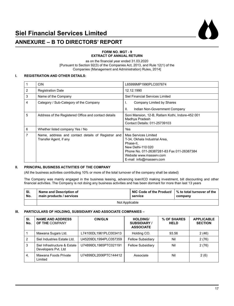

#### **FORM NO. MGT - 9 EXTRACT OF ANNUAL RETURN**

as on the financial year ended 31.03.2020 [Pursuant to Section 92(3) of the Companies Act, 2013, and Rule 12(1) of the Companies (Management and Administration) Rules, 2014]

#### **I. REGISTRATION AND OTHER DETAILS:**

|                | <b>CIN</b>                                                                   | L65999MP1990PLC007674                                                                                                                                                                       |
|----------------|------------------------------------------------------------------------------|---------------------------------------------------------------------------------------------------------------------------------------------------------------------------------------------|
| 2              | <b>Registration Date</b>                                                     | 12.12.1990                                                                                                                                                                                  |
| 3              | Name of the Company                                                          | Siel Financial Services Limited                                                                                                                                                             |
| $\overline{4}$ | Category / Sub-Category of the Company                                       | Company Limited by Shares<br>ı.                                                                                                                                                             |
|                |                                                                              | Ш.<br>Indian Non-Government Company                                                                                                                                                         |
| 5              | Address of the Registered Office and contact details                         | Soni Mansion, 12-B, Ratlam Kothi, Indore-452 001<br>Madhya Pradesh<br>Contact Details: 011-25739103                                                                                         |
| 6              | Whether listed company Yes / No                                              | Yes                                                                                                                                                                                         |
| 7              | Name, address and contact details of Registrar and<br>Transfer Agent, if any | Mas Services Limited<br>T-34, Okhala Industrial Area,<br>Phase-II,<br>New Delhi-110 020<br>Phone No. 011-26387281-83 Fax 011-26387384<br>Website www.masserv.com<br>E-mail info@masserv.com |

#### **II. PRINCIPAL BUSINESS ACTIVITIES OF THE COMPANY**

(All the business activities contributing 10% or more of the total turnover of the company shall be stated)

The Company was mainly engaged in the business leasing, advancing loan/ICD making investment, bill discounting and other financial activities. The Company is not doing any business activities and has been dormant for more than last 13 years

| SI.<br>No. | Name and Description of<br>main products / services | $\blacksquare$ NIC Code of the Product/ $\blacksquare$ % to total turnover of the<br>service | company |  |  |  |  |
|------------|-----------------------------------------------------|----------------------------------------------------------------------------------------------|---------|--|--|--|--|
|            | Not Applicable                                      |                                                                                              |         |  |  |  |  |

#### **III. PARTICULARS OF HOLDING, SUBSIDIARY AND ASSOCIATE COMPANIES –**

| SI.<br>No. | <b>NAME AND ADDRESS</b><br><b>OF THE COMPANY</b>    | <b>CIN/GLN</b>        | <b>HOLDING/</b><br><b>SUBSIDIARY/</b><br><b>ASSOCIATE</b> | % OF SHARES<br><b>HELD</b> | <b>APPLICABLE</b><br><b>SECTION</b> |
|------------|-----------------------------------------------------|-----------------------|-----------------------------------------------------------|----------------------------|-------------------------------------|
|            | Mawana Sugars Ltd.                                  | L74100DL1961PLC003413 | Holding CO.                                               | 93.56                      | 2(46)                               |
| 2          | Siel Industries Estate Ltd.                         | U45209DL1994PLC057359 | <b>Fellow Subsidiary</b>                                  | Nil                        | 2(76)                               |
| 3          | Siel Infrastructure & Estate<br>Developers Pvt. Ltd | U74899DL1985PTC021191 | <b>Fellow Subsidiary</b>                                  | Nil                        | 2(76)                               |
| 4.         | Mawana Foods Private<br>Limited                     | U74899DL2006PTC144412 | Associate                                                 | Nil                        | 2(6)                                |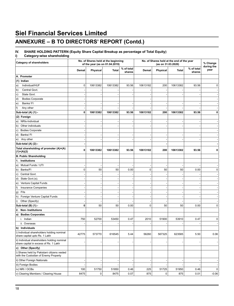# **ANNEXURE – B TO DIRECTORS' REPORT (Contd.)**

# **IV. SHARE HOLDING PATTERN (Equity Share Capital Breakup as percentage of Total Equity)**

**i) Category-wise shareholding**

| <b>Category of shareholders</b>                                                      |             |                 | No. of Shares held at the beginning<br>of the year (as on 01.04.2019) |                      | No. of Shares held at the end of the year<br>(as on 31.03.2020) |           |          | % Change<br>during the |           |
|--------------------------------------------------------------------------------------|-------------|-----------------|-----------------------------------------------------------------------|----------------------|-----------------------------------------------------------------|-----------|----------|------------------------|-----------|
|                                                                                      | Demat       | <b>Physical</b> | <b>Total</b>                                                          | % of total<br>shares | Demat                                                           | Physical  | Total    | % of total<br>shares   | year      |
| A. Promoter                                                                          |             |                 |                                                                       |                      |                                                                 |           |          |                        |           |
| (1) Indian                                                                           |             |                 |                                                                       |                      |                                                                 |           |          |                        |           |
| Individual/HUF<br>a)                                                                 | 0           | 10613382        | 10613382                                                              | 93.56                | 10613182                                                        | 200       | 10613382 | 93.56                  | $\pmb{0}$ |
| Central Govt.<br>b)                                                                  |             |                 |                                                                       |                      |                                                                 |           |          |                        |           |
| c)<br>State Govt.                                                                    |             |                 |                                                                       |                      |                                                                 |           |          |                        |           |
| d)<br><b>Bodies Corporate</b>                                                        |             |                 |                                                                       |                      |                                                                 |           |          |                        |           |
| Banks/FI<br>e)                                                                       |             |                 |                                                                       |                      |                                                                 |           |          |                        |           |
| f)<br>Any other                                                                      |             |                 |                                                                       |                      |                                                                 |           |          |                        |           |
| Sub-total (A) (1):-                                                                  | 0           | 10613382        | 10613382                                                              | 93.56                | 10613182                                                        | 200       | 10613382 | 93.56                  | 0         |
| (2) Foreign                                                                          |             |                 |                                                                       |                      |                                                                 |           |          |                        |           |
| a) NRIs-Individual                                                                   |             |                 |                                                                       |                      |                                                                 |           |          |                        |           |
| b) Other individuals                                                                 |             |                 |                                                                       |                      |                                                                 |           |          |                        |           |
| <b>Bodies Corporate</b><br>c)                                                        |             |                 |                                                                       |                      |                                                                 |           |          |                        |           |
| d)<br>Banks/FI                                                                       |             |                 |                                                                       |                      |                                                                 |           |          |                        |           |
| e) Any other                                                                         |             |                 |                                                                       |                      |                                                                 |           |          |                        |           |
| Sub-total (A) (2):-                                                                  |             |                 |                                                                       |                      |                                                                 |           |          |                        |           |
| Total shareholding of promoter (A)=(A)                                               | 0           | 10613382        | 10613382                                                              | 93.56                | 10613182                                                        | 200       | 10613382 | 93.56                  | 0         |
| (1)+(A)(2)                                                                           |             |                 |                                                                       |                      |                                                                 |           |          |                        |           |
| <b>B. Public Shareholding</b>                                                        |             |                 |                                                                       |                      |                                                                 |           |          |                        |           |
| 1. Institutions                                                                      |             |                 |                                                                       |                      |                                                                 |           |          |                        |           |
| Mutual Funds / UTI<br>a)                                                             |             |                 |                                                                       |                      |                                                                 |           |          |                        |           |
| b) Banks/Fl                                                                          | $\mathbf 0$ | 50              | 50                                                                    | 0.00                 | $\pmb{0}$                                                       | 50        | 50       | 0.00                   | $\pmb{0}$ |
| c) Central Govt.                                                                     |             |                 |                                                                       |                      |                                                                 |           |          |                        |           |
| d)<br>State Govt.(s).                                                                |             |                 |                                                                       |                      |                                                                 |           |          |                        |           |
| Venture Capital Funds<br>e)                                                          |             |                 |                                                                       |                      |                                                                 |           |          |                        |           |
| f)<br>Insurance Companies                                                            |             |                 |                                                                       |                      |                                                                 |           |          |                        |           |
| Flis<br>g)                                                                           |             |                 |                                                                       |                      |                                                                 |           |          |                        |           |
| h) Foreign Venture Capital Funds                                                     |             |                 |                                                                       |                      |                                                                 |           |          |                        |           |
| Other (Specify)<br>i)                                                                |             |                 |                                                                       |                      |                                                                 |           |          |                        |           |
| Sub-total (B) (1):-                                                                  | 0           | 50              | 50                                                                    | 0.00                 | $\mathbf 0$                                                     | 50        | 50       | 0.00                   | 0         |
| 2. Non-Institutions                                                                  |             |                 |                                                                       |                      |                                                                 |           |          |                        |           |
| a) Bodies Corporates                                                                 |             |                 |                                                                       |                      |                                                                 |           |          |                        |           |
| i. Indian                                                                            | 750         | 52700           | 53450                                                                 | 0.47                 | 2010                                                            | 51900     | 53910    | 0.47                   | $\pmb{0}$ |
| ii. Overseas                                                                         |             |                 |                                                                       |                      |                                                                 |           |          |                        |           |
| b) Individuals                                                                       |             |                 |                                                                       |                      |                                                                 |           |          |                        |           |
| i) Individual shareholders holding nominal<br>share capital upto Rs. 1 Lakh          | 42775       | 573770          | 616545                                                                | 5.44                 | 56260                                                           | 567325    | 623585   | 5.50                   | 0.06      |
| ii) Individual shareholders holding nominal<br>share capital in excess of Rs. 1 Lakh |             |                 |                                                                       |                      |                                                                 |           |          |                        |           |
| c) Other (Specify)                                                                   |             |                 |                                                                       |                      |                                                                 |           |          |                        |           |
| i) Shares held by Pakistani citizens vested<br>with the Custodian of Enemy Property  |             |                 |                                                                       |                      |                                                                 |           |          |                        |           |
| ii) Other Foreign Nationals                                                          |             |                 |                                                                       |                      |                                                                 |           |          |                        |           |
| iii) Foreign Bodies                                                                  |             |                 |                                                                       |                      |                                                                 |           |          |                        |           |
| iv) NRI / OCBs                                                                       | 100         | 51750           | 51850                                                                 | 0.46                 | 225                                                             | 51725     | 51950    | 0.46                   | $\pmb{0}$ |
| v) Clearing Members / Clearing House                                                 | 8475        | 0               | 8475                                                                  | 0.07                 | 875                                                             | $\pmb{0}$ | 875      | 0.01                   | $-0.06$   |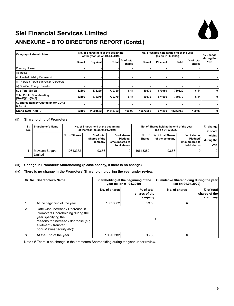



# **ANNEXURE – B TO DIRECTORS' REPORT (Contd.)**

| Category of shareholders                                |       |          | No. of Shares held at the beginning<br>of the year (as on 01.04.2019) |                      | No. of Shares held at the end of the year<br>(as on 31.03.2020) |                 |              | % Change<br>during the |             |
|---------------------------------------------------------|-------|----------|-----------------------------------------------------------------------|----------------------|-----------------------------------------------------------------|-----------------|--------------|------------------------|-------------|
|                                                         | Demat | Physical | Total                                                                 | % of total<br>shares | Demat                                                           | <b>Physical</b> | <b>Total</b> | % of total<br>shares   | year        |
| <b>Clearing House</b>                                   |       |          |                                                                       |                      |                                                                 |                 |              |                        |             |
| vi) Trusts                                              |       |          |                                                                       |                      |                                                                 |                 |              |                        |             |
| vii) Limited Liability Partnership                      |       |          |                                                                       |                      |                                                                 |                 |              |                        |             |
| viii) Foreign Portfolio Investor (Corporate)            |       |          |                                                                       |                      |                                                                 |                 |              |                        |             |
| ix) Qualified Foreign Investor                          |       |          |                                                                       |                      |                                                                 |                 |              |                        |             |
| Sub-Total (B)(2):                                       | 52100 | 678220   | 730320                                                                | 6.44                 | 59370                                                           | 670950          | 730320       | 6.44                   | 0           |
| <b>Total Public Shareholding</b><br>$(B)=(B)(1)+(B)(2)$ | 52100 | 678270   | 730370                                                                | 6.44                 | 59370                                                           | 671000          | 730370       | 6.44                   | $\mathbf 0$ |
| C. Shares held by Custodian for GDRs<br>& ADRs          |       |          |                                                                       |                      |                                                                 |                 |              |                        |             |
| Grand Total (A+B+C)                                     | 52100 | 11291652 | 11343752                                                              | 100.00               | 10672552                                                        | 671200          | 11343752     | 100.00                 | 0           |

#### **(ii) Shareholding of Promoters**

| Sr.<br>No. | Shareholer's Name        |               | No. of Shares held at the beginning<br>of the year (as on 01.04.2019) |                                                          | No. of Shares held at the end of the year | % change<br>in share                |                                                          |                               |
|------------|--------------------------|---------------|-----------------------------------------------------------------------|----------------------------------------------------------|-------------------------------------------|-------------------------------------|----------------------------------------------------------|-------------------------------|
|            |                          | No. of Shares | % of total<br>Shares of the<br>company                                | % of shares<br>Pledaed/<br>emcumbered to<br>total shares | No. of<br><b>Shares</b>                   | % of total Shares<br>of the company | % of shares<br>Pledged/<br>emcumbered to<br>total shares | holding<br>during the<br>year |
|            | Mawana Sugars<br>Limited | 10613382      | 93.56                                                                 |                                                          | 10613382                                  | 93.56                               |                                                          | $\Omega$                      |

#### **(iii) Change in Promoters' Shareholding (please specify, if there is no change)**

#### **(iv) There is no change in the Promoters' Shareholding during the year under review.**

|              | Sr. No. Shareholer's Name                                                                                                                                                                    |               | Shareholding at the beginning of the<br>year (as on 01.04.2019) | Cumulative Shareholding during the year<br>(as on 01.04.2020) |                                        |  |
|--------------|----------------------------------------------------------------------------------------------------------------------------------------------------------------------------------------------|---------------|-----------------------------------------------------------------|---------------------------------------------------------------|----------------------------------------|--|
|              |                                                                                                                                                                                              | No. of shares | % of total<br>shares of the<br>company                          | No. of shares                                                 | % of total<br>shares of the<br>company |  |
| $\mathbf{1}$ | At the beginning of the year                                                                                                                                                                 | 10613382      | 93.56                                                           | #                                                             |                                        |  |
| 2            | Date wise Increase / Decrease in<br>Promoters Shareholding during the<br>year specifying the<br>reasons for increase / decrease (e.g.<br>allotment / transfer /<br>bonus/ sweat equity etc): |               |                                                                 | #                                                             |                                        |  |
| 3            | At the End of the year                                                                                                                                                                       | 10613382      | 93.56                                                           | #                                                             |                                        |  |

Note : # There is no change in the promoters Shareholding during the year under review.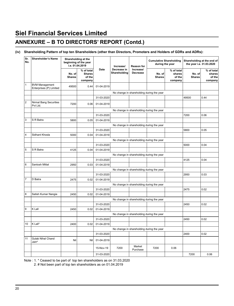### **ANNEXURE – B TO DIRECTORS' REPORT (Contd.)**

#### **(iv) Shareholding Pattern of top ten Shareholders (other than Directors, Promoters and Holders of GDRs and ADRs):**

| Sr.<br>No.     | <b>Shareholder's Name</b>                        |                         | Shareholding at the<br>beginning of the year<br>i.e. 01.04.2019 |            | Increase/                   | <b>Reason for</b>                         | <b>Cumulative Shareholding</b><br>during the year |                                           | the year i.e. 31.03.2020 | Shareholding at the end of                |
|----------------|--------------------------------------------------|-------------------------|-----------------------------------------------------------------|------------|-----------------------------|-------------------------------------------|---------------------------------------------------|-------------------------------------------|--------------------------|-------------------------------------------|
|                |                                                  | No. of<br><b>Shares</b> | % of total<br><b>Shares</b><br>of the<br>company                | Date       | Decrease in<br>Shareholding | Increase/<br><b>Decrease</b>              | No. of<br><b>Shares</b>                           | % of total<br>shares<br>of the<br>company | No. of<br><b>Shares</b>  | % of total<br>shares<br>of the<br>company |
| 1              | <b>BVM Management</b><br>Enterprises (P) Limited | 49500                   | 0.44                                                            | 01-04-2019 |                             |                                           |                                                   |                                           |                          |                                           |
|                |                                                  |                         |                                                                 |            |                             | No change in shareholding during the year |                                                   |                                           |                          |                                           |
|                |                                                  |                         |                                                                 | 31-03-2020 |                             |                                           |                                                   |                                           | 49500                    | 0.44                                      |
| $\overline{2}$ | <b>Nirmal Bang Securities</b><br>Pvt Ltd.        | 7200                    | 0.06                                                            | 01-04-2019 |                             |                                           |                                                   |                                           |                          |                                           |
|                |                                                  |                         |                                                                 |            |                             | No change in shareholding during the year |                                                   |                                           |                          |                                           |
|                |                                                  |                         |                                                                 | 31-03-2020 |                             |                                           |                                                   |                                           | 7200                     | 0.06                                      |
| 3              | S R Batra                                        | 5800                    | 0.05                                                            | 01-04-2019 |                             |                                           |                                                   |                                           |                          |                                           |
|                |                                                  |                         |                                                                 |            |                             | No change in shareholding during the year |                                                   |                                           |                          |                                           |
|                |                                                  |                         |                                                                 | 31-03-2020 |                             |                                           |                                                   |                                           | 5800                     | 0.05                                      |
| 4              | Sidhant Khosla                                   | 5000                    | 0.04                                                            | 01-04-2019 |                             |                                           |                                                   |                                           |                          |                                           |
|                |                                                  |                         |                                                                 |            |                             | No change in shareholding during the year |                                                   |                                           |                          |                                           |
|                |                                                  |                         |                                                                 | 31-03-2020 |                             |                                           |                                                   |                                           | 5000                     | 0.04                                      |
| 5              | S R Batra                                        | 4125                    | 0.04                                                            | 01-04-2019 |                             |                                           |                                                   |                                           |                          |                                           |
|                |                                                  |                         |                                                                 |            |                             | No change in shareholding during the year |                                                   |                                           |                          |                                           |
|                |                                                  |                         |                                                                 | 31-03-2020 |                             |                                           |                                                   |                                           | 4125                     | 0.04                                      |
| 6              | Santosh Mittal                                   | 2950                    | 0.03                                                            | 01-04-2019 |                             |                                           |                                                   |                                           |                          |                                           |
|                |                                                  |                         |                                                                 |            |                             | No change in shareholding during the year |                                                   |                                           |                          |                                           |
|                |                                                  |                         |                                                                 | 31-03-2020 |                             |                                           |                                                   |                                           | 2950                     | 0.03                                      |
| 7              | D Batra                                          | 2475                    | 0.02                                                            | 01-04-2019 |                             |                                           |                                                   |                                           |                          |                                           |
|                |                                                  |                         |                                                                 |            |                             | No change in shareholding during the year |                                                   |                                           |                          |                                           |
|                |                                                  |                         |                                                                 | 31-03-2020 |                             |                                           |                                                   |                                           | 2475                     | 0.02                                      |
| 8              | Satish Kumar Nangia                              | 2450                    | 0.02                                                            | 01-04-2019 |                             |                                           |                                                   |                                           |                          |                                           |
|                |                                                  |                         |                                                                 |            |                             | No change in shareholding during the year |                                                   |                                           |                          |                                           |
|                |                                                  |                         |                                                                 | 31-03-2020 |                             |                                           |                                                   |                                           | 2450                     | 0.02                                      |
| 9              | K Lall                                           | 2450                    | 0.02                                                            | 01-04-2019 |                             |                                           |                                                   |                                           |                          |                                           |
|                |                                                  |                         |                                                                 |            |                             | No change in shareholding during the year |                                                   |                                           |                          |                                           |
|                |                                                  |                         |                                                                 | 31-03-2020 |                             |                                           |                                                   |                                           | 2450                     | 0.02                                      |
| 10             | K Lall*                                          | 2400                    | 0.02                                                            | 01-04-2019 |                             |                                           |                                                   |                                           |                          |                                           |
|                |                                                  |                         |                                                                 |            |                             | No change in shareholding during the year |                                                   |                                           |                          |                                           |
|                |                                                  |                         |                                                                 | 31-03-2020 |                             |                                           |                                                   |                                           | 2400                     | 0.02                                      |
| 11             | <b>Gulab Nihal Chand</b><br>Jain <sup>#</sup>    | Nil                     | Nil                                                             | 01-04-2019 |                             |                                           |                                                   |                                           |                          |                                           |
|                |                                                  |                         |                                                                 | 15-Nov-19  | 7200                        | Market<br>Purchase                        | 7200                                              | 0.06                                      |                          |                                           |
|                |                                                  |                         |                                                                 | 31-03-2020 |                             |                                           |                                                   |                                           | 7200                     | 0.06                                      |

Note : 1. \* Ceased to be part of top ten shareholders as on 31.03.2020

2. # Not been part of top ten shareholders as on 01.04.2019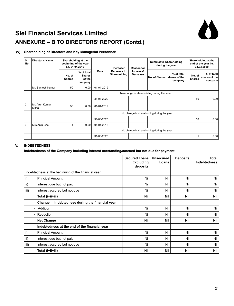

# **ANNEXURE – B TO DIRECTORS' REPORT (Contd.)**

#### **(v) Shareholding of Directors and Key Managerial Personnel:**

| Sr.<br>No.     | <b>Director's Name</b>   |                         | Shareholding at the<br>beginning of the year<br>i.e. 01.04.2019 |            | Increase/<br>Date<br>Decrease in<br>Shareholding | Reason for<br>Increase/<br>Decrease | <b>Cumulative Shareholding</b><br>during the year |                                        | Shareholding at the<br>end of the year i.e.<br>31.03.2020 |                                        |
|----------------|--------------------------|-------------------------|-----------------------------------------------------------------|------------|--------------------------------------------------|-------------------------------------|---------------------------------------------------|----------------------------------------|-----------------------------------------------------------|----------------------------------------|
|                |                          | No. of<br><b>Shares</b> | % of total<br><b>Shares</b><br>of the<br>company                |            |                                                  |                                     | No. of Shares                                     | % of total<br>shares of the<br>company | No. of<br><b>Shares</b>                                   | % of total<br>shares of the<br>company |
|                | Mr. Santosh Kumar        | 50                      | 0.00                                                            | 01-04-2019 |                                                  |                                     |                                                   |                                        |                                                           |                                        |
|                |                          |                         |                                                                 |            | No change in shareholding during the year        |                                     |                                                   |                                        |                                                           |                                        |
|                |                          |                         |                                                                 | 31-03-2020 |                                                  |                                     |                                                   |                                        | 50                                                        | 0.00                                   |
| $\overline{2}$ | Mr. Arun Kumar<br>Mithal | 50                      | 0.00                                                            | 01-04-2019 |                                                  |                                     |                                                   |                                        |                                                           |                                        |
|                |                          |                         |                                                                 |            |                                                  |                                     | No change in shareholding during the year         |                                        |                                                           |                                        |
|                |                          |                         |                                                                 | 31-03-2020 |                                                  |                                     |                                                   |                                        | 50                                                        | 0.00                                   |
| 3              | Mrs.Anju Goel            | 1                       | 0.00                                                            | 01-04-2018 |                                                  |                                     |                                                   |                                        |                                                           |                                        |
|                |                          |                         |                                                                 |            |                                                  |                                     | No change in shareholding during the year         |                                        |                                                           |                                        |
|                |                          |                         |                                                                 | 31-03-2020 |                                                  |                                     |                                                   |                                        |                                                           | 0.001                                  |

#### **V. INDEBTEDNESS**

**Indebtedness of the Company including interest outstanding/accrued but not due for payment** 

|      |                                                     | <b>Secured Loans</b><br><b>Excluding</b><br>deposits | <b>Unsecured</b><br>Loans | <b>Deposits</b> | Total<br><b>Indebtedness</b> |
|------|-----------------------------------------------------|------------------------------------------------------|---------------------------|-----------------|------------------------------|
|      | Indebtedness at the beginning of the financial year |                                                      |                           |                 |                              |
| i)   | <b>Principal Amount</b>                             | Nil                                                  | Nil                       | Nil             | Nil                          |
| ii)  | Interest due but not paid                           | Nil                                                  | Nil                       | Nil             | Nil                          |
| iii) | Interest accured but not due                        | Nil                                                  | Nil                       | Nil             | Nil                          |
|      | Total (i+ii+iii)                                    | Nil                                                  | <b>Nil</b>                | <b>Nil</b>      | <b>Nil</b>                   |
|      | Change in Indebtedness during the financial year    |                                                      |                           |                 |                              |
| ٠    | Addition                                            | Nil                                                  | Nil                       | Nil             | Nil                          |
| ٠    | Reduction                                           | Nil                                                  | Nil                       | Nil             | Nil                          |
|      | <b>Net Change</b>                                   | Nil                                                  | <b>Nil</b>                | <b>Nil</b>      | <b>Nil</b>                   |
|      | Indebtedness at the end of the financial year       |                                                      |                           |                 |                              |
| i)   | <b>Principal Amount</b>                             | Nil                                                  | Nil                       | Nil             | Nil                          |
| ii)  | Interest due but not paid                           | Nil                                                  | Nil                       | Nil             | Nil                          |
| iii) | Interest accured but not due                        | Nil                                                  | Nil                       | Nil             | Nil                          |
|      | Total (i+ii+iii)                                    | Nil                                                  | <b>Nil</b>                | Nil             | Nil                          |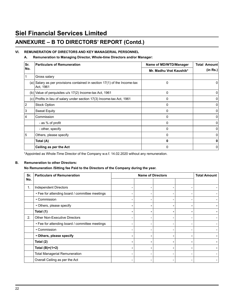### **ANNEXURE – B TO DIRECTORS' REPORT (Contd.)**

#### **VI. REMUNERATION OF DIRECTORS AND KEY MANAGERIAL PERSONNEL**

#### **A. Remuneration to Managing Director, Whole-time Directors and/or Manager:**

| Sr. | <b>Particulars of Remuneration</b>                                                       | Name of MD/WTD/Manager  | Total Amount |
|-----|------------------------------------------------------------------------------------------|-------------------------|--------------|
| No. |                                                                                          | Mr. Madhu Vrat Kaushik* | (in Rs.)     |
|     | Gross salary                                                                             |                         |              |
|     | $(a)$ Salary as per provisions contained in section 17(1) of the Income-tax<br>Act, 1961 | 0                       | 0            |
|     | $(b)$ Value of perquisites $u/s$ 17(2) Income-tax Act, 1961                              | $\Omega$                | 0            |
|     | (c) Profits in lieu of salary under section 17(3) Income-tax Act, 1961                   | 0                       | 0            |
| 12  | <b>Stock Option</b>                                                                      | $\Omega$                | 0            |
| IЗ  | <b>Sweat Equity</b>                                                                      | 0                       | 0            |
| 14  | Commission                                                                               | $\Omega$                | 0            |
|     | - as % of profit                                                                         | $\Omega$                | 0            |
|     | - other, specify                                                                         | 0                       | 0            |
| 15  | Others, please specify                                                                   | $\Omega$                | 0            |
|     | Total (A)                                                                                | n                       | 0            |
|     | Ceiling as per the Act                                                                   | ŋ                       | 0            |

\*Appointed as Whole-Time Director of the Company w.e.f. 14.02.2020 without any remuneration.

#### **B. Remuneration to other Directors:**

#### **No Remuneration /Sitting fee Paid to the Directors of the Company during the year.**

| Sr. | <b>Particulars of Remuneration</b>             | <b>Name of Directors</b> |  |   |  |
|-----|------------------------------------------------|--------------------------|--|---|--|
| No. |                                                |                          |  |   |  |
| 1.  | <b>Independent Directors</b>                   |                          |  | - |  |
|     | • Fee for attending board / committee meetings |                          |  |   |  |
|     | • Commission                                   |                          |  |   |  |
|     | • Others, please specify                       |                          |  |   |  |
|     | Total (1)                                      |                          |  |   |  |
| 2.  | <b>Other Non-Executive Directors</b>           |                          |  |   |  |
|     | • Fee for attending board / committee meetings |                          |  |   |  |
|     | • Commission                                   |                          |  |   |  |
|     | • Others, please specify                       |                          |  |   |  |
|     | Total (2)                                      |                          |  |   |  |
|     | Total $(B)=(1+2)$                              |                          |  |   |  |
|     | <b>Total Managerial Remuneration</b>           |                          |  | - |  |
|     | Overall Ceiling as per the Act                 |                          |  |   |  |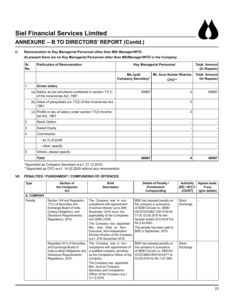

# **ANNEXURE – B TO DIRECTORS' REPORT (Contd.)**

#### **C. Remuneration to Key Managerial Personnel other than MD/ Manager/WTD:**

**At present there are no Key Managerial Personnel other than MD/Manager/WTD in the Company.**

| Sr.<br>No.     | <b>Particulars of Remuneration</b><br><b>Key Managerial Personnel</b>                    |                                       |                                | <b>Total Amountl</b><br>(In Rupees) |
|----------------|------------------------------------------------------------------------------------------|---------------------------------------|--------------------------------|-------------------------------------|
|                |                                                                                          | Ms.Jyoti<br><b>Company Secretary*</b> | Mr. Arun Kumar Sharma<br>CFO** | Total Amount<br>(In Rupees)         |
| 1.             | <b>Gross salary</b>                                                                      |                                       |                                |                                     |
|                | (a) Salary as per provisions contained in section $17(1)$<br>of the Income-tax Act, 1961 | 60667                                 | 0                              | 60667                               |
|                | $(b)$ Value of perquisites $u/s$ 17(2) of the Income-tax Act,<br>1961                    |                                       | 0                              |                                     |
|                | (c) Profits in lieu of salary under section 17(3) Income<br>tax Act, 1961                |                                       | 0                              |                                     |
| $\overline{2}$ | <b>Stock Option</b>                                                                      |                                       |                                |                                     |
| 3              | <b>Sweat Equity</b>                                                                      |                                       |                                |                                     |
| 4              | Commission                                                                               |                                       |                                |                                     |
|                | - as % of profit                                                                         |                                       |                                |                                     |
|                | - other, specify                                                                         |                                       |                                |                                     |
| 5              | Others, please specify                                                                   |                                       |                                |                                     |
|                | <b>Total</b>                                                                             | 60667                                 | 0                              | 60667                               |

\*Appointed as Company Secretary w.e.f. 31.12.2019.

\*\*Appointed as CFO w.e.f. 14.02.2020 without any remuneration.

#### **VII. PENALTIES / PUNISHMENT / COMPUNDING OF OFFENCES**

| <b>Type</b> | <b>Section of</b><br>the Companies<br>Act                                                                                                                     | <b>Brief</b><br><b>Description</b>                                                                                                                                                                                                                                                                                          | Details of Penalty /<br>Punishment/<br>Compounding                                                                                                                                                                                                       | <b>Authority</b><br><b>IRD / NCLT/</b><br><b>COURTI</b> | Appeal made,<br>if any<br>(give details) |
|-------------|---------------------------------------------------------------------------------------------------------------------------------------------------------------|-----------------------------------------------------------------------------------------------------------------------------------------------------------------------------------------------------------------------------------------------------------------------------------------------------------------------------|----------------------------------------------------------------------------------------------------------------------------------------------------------------------------------------------------------------------------------------------------------|---------------------------------------------------------|------------------------------------------|
| A. COMPANY  |                                                                                                                                                               |                                                                                                                                                                                                                                                                                                                             |                                                                                                                                                                                                                                                          |                                                         |                                          |
| Penalty     | Section 149 and Regulation<br>17(1) of Securities and<br>Exchange Board of India<br>(Listing Obligations and<br>Disclosure Requirements)<br>Regulations, 2015 | The Company was in non-<br>compliance with appointment<br>of woman director up to 26th<br>November, 2018 since the<br>applicability of the Companies<br>Act/ SEBI LODR.<br>The Company has appointed<br>Mrs. Anju Goel as Non-<br>Executive, Non-Independent<br>Woman Director of the Company<br>w.e.f. 27th November 2018. | BSE has imposed penalty on<br>the company in pursuance<br>of SEBI Circular no. SEBI/<br>HO/CFD/CMD/ CIR/ P/2018/<br>77 dt. 03.05.2018 for the<br>Quarter ended 30.9.2018 For<br>Rs.5,42,800/-<br>The penalty has been paid to<br>BSE in September, 2019. | Stock<br>Exchange                                       |                                          |
|             | Regulation 6(1) of Securities<br>and Exchange Board of<br>India (Listing Obligations and<br>Disclosure Requirements)<br>Regulations, 2015                     | The Company was in non-<br>compliance with appointment of<br>a qualified company secretary<br>as the Compliance Officer of the<br>Company.<br>The Company has appointed<br>Mrs. Jyoti as Company<br>Secretary and Compliance<br>Officer of the Company w.e.f.<br>31.12.2019                                                 | BSE has imposed penalty on<br>the company in pursuance<br>of SEBI Circular no. EBI/HO/<br>CFD/CMD/CIR/P/2018/77 dt.<br>03.05.2018 for Rs.1,07,380/-                                                                                                      | <b>Stock</b><br>Exchange                                |                                          |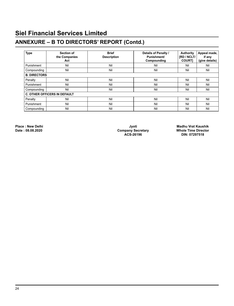# **ANNEXURE – B TO DIRECTORS' REPORT (Contd.)**

| <b>Type</b>         | <b>Section of</b><br>the Companies<br>Act | <b>Brief</b><br><b>Description</b> | Details of Penalty /<br><b>Punishment/</b><br>Compounding | Authority<br><b>IRD / NCLT/</b><br><b>COURTI</b> | Appeal made,<br>if any<br>(give details) |
|---------------------|-------------------------------------------|------------------------------------|-----------------------------------------------------------|--------------------------------------------------|------------------------------------------|
| Punishment          | Nil                                       | Nil                                | Nil                                                       | Nil                                              | Nil                                      |
| Compounding         | Nil                                       | Nil                                | Nil                                                       | Nil                                              | Nil                                      |
| <b>B. DIRECTORS</b> |                                           |                                    |                                                           |                                                  |                                          |
| Penalty             | Nil                                       | Nil                                | Nil                                                       | Nil                                              | Nil                                      |
| Punishment          | Nil                                       | Nil                                | Nil                                                       | Nil                                              | Nil                                      |
| Compounding         | Nil                                       | Nil                                | Nil                                                       | Nil                                              | Nil                                      |
|                     | <b>C. OTHER OFFICERS IN DEFAULT</b>       |                                    |                                                           |                                                  |                                          |
| Penalty             | Nil                                       | Nil                                | Nil                                                       | Nil                                              | Nil                                      |
| Punishment          | Nil                                       | Nil                                | Nil                                                       | Nil                                              | Nil                                      |
| Compounding         | Nil                                       | Nil                                | Nil                                                       | Nil                                              | Nil                                      |

 **ACS-26196 DIN: 07297518**

**Place : New Delhi Jyoti Madhu Vrat Kaushik Date : 08.08.2020 Company Secretary Whole Time Director**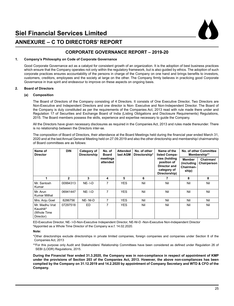

### **ANNEXURE – C TO DIRECTORS' REPORT**

#### **CORPORATE GOVERNANCE REPORT – 2019-20**

#### **1. Company's Philosophy on Code of Corporate Governance**

 Good Corporate Governance act as a catalyst for consistent growth of an organization. It is the adoption of best business practices which ensure that the Company operates not only within the regulatory framework, but is also guided by ethics. The adoption of such corporate practices ensures accountability of the persons in charge of the Company on one hand and brings benefits to investors, customers, creditors, employees and the society at large on the other. The Company firmly believes in practicing good Corporate Governance in true spirit and endeavour to improve on these aspects on ongoing basis.

#### **2. Board of Directors**

#### **(a) Composition**

 The Board of Directors of the Company consisting of 4 Directors. It consists of One Executive Director, Two Directors are Non-Executive and Independent Directors and one director is Non- Executive and Non-Independent Director. The Board of the Company is duly constituted as per the requirements of the Companies Act, 2013 read with rule made there under and Regulation 17 of Securities and Exchange Board of India (Listing Obligations and Disclosure Requirements) Regulations, 2015. The Board members possess the skills, experience and expertise necessary to guide the Company.

 All the Directors have given necessary disclosures as required in the Companies Act, 2013 and rules made thereunder. There is no relationship between the Directors inter-se.

 The composition of Board of Directors, their attendance at the Board Meetings held during the financial year ended March 31, 2020 and at the last Annual General Meeting held on 27.09.2019 and also the other directorship and membership/ chairmanship of Board committees are as follows:

| Name of<br><b>Director</b>                                         | <b>DIN</b>     | Category of<br>Directorship | No. of<br><b>Board</b> | <b>Attended</b><br>last AGM | No. of other<br>Directorship* | Name of the<br>listed Compa-                                                 |                                            | No. of other Committee<br>Membership** |
|--------------------------------------------------------------------|----------------|-----------------------------|------------------------|-----------------------------|-------------------------------|------------------------------------------------------------------------------|--------------------------------------------|----------------------------------------|
|                                                                    |                |                             | meetings<br>attended   |                             |                               | nies (holding<br>position of<br>Director and<br>category of<br>Directorship) | Member<br>(including<br>Chairman-<br>ship) | Chairman/<br>Chairperson               |
| 1                                                                  | $\overline{2}$ | 3                           | 4                      | 5                           | 6                             | 7                                                                            | 8                                          | 8                                      |
| Mr. Santosh<br>Kumar                                               | 00994313       | $NE - I - D$                | 7                      | <b>YES</b>                  | Nil                           | Nil                                                                          | Nil                                        | Nil                                    |
| Mr. Arun<br>Kumar Mithal                                           | 06941447       | $NE - I - D$                | 7                      | <b>YES</b>                  | Nil                           | Nil                                                                          | Nil                                        | Nil                                    |
| Mrs. Anju Goel                                                     | 8286756        | NE-NI-D                     | $\overline{7}$         | <b>YES</b>                  | Nil                           | Nil                                                                          | Nil                                        | Nil                                    |
| Mr. Madhu Vrat<br>Kaushik <sup>#</sup><br>(Whole Time<br>Director) | 07297518       | <b>ED</b>                   | 7                      | <b>YES</b>                  | Nil                           | Nil                                                                          | Nil                                        | Nil                                    |

 ED-Executive Director, NE- I-D-Non-Executive Independent Director, NE-NI-D -Non-Executive Non-Independent Director # Appointed as a Whole Time Director of the Company w.e.f. 14.02.2020.

#### **Note:**

 \*Other directorships exclude directorships in private limited companies, foreign companies and companies under Section 8 of the Companies Act, 2013

 \*\*For this purpose only Audit and Stakeholders' Relationship Committees have been considered as defined under Regulation 26 of SEBI (LODR) Regulations, 2015.

 **During the Financial Year ended 31.3.2020, the Company was in non-compliance in respect of appointment of KMP under the provisions of Section 203 of the Companies Act, 2013. However, the above non-compliances has been complied by the Company on 31.12.2019 and 14.2.2020 by appointment of Company Secretary and WTD & CFO of the Company.**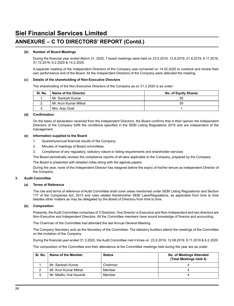### **ANNEXURE – C TO DIRECTORS' REPORT (Contd.)**

#### **(b) Number of Board Meetings**

 During the financial year ended March 31, 2020, 7 board meetings were held on 23.5.2019, 12.8.2019, 21.8.2019, 8.11.2019, 31.12.2019, 6.2.2020 & 14.2.2020.

 A separate meeting of the Independent Directors of the Company was convened on 14.02.2020 to overlook and review their own performance and of the Board. All the Independent Directors of the Company were attended the meeting.

#### **(c) Details of the shareholding of Non-Executive Directors**

The shareholding of the Non-Executive Directors of the Company as on 31.3.2020 is as under:

| SI. No.  | Name of the Director  | No. of Equity Shares |
|----------|-----------------------|----------------------|
|          | Mr. Santosh Kumar     | 50                   |
| <u>.</u> | Mr. Arun Kumar Mithal | 50                   |
|          | Mrs. Anju Goel        |                      |

#### **(d) Confirmation**

On the basis of declaration received from the Independent Directors, the Board confirms that in their opinion the Independent Directors of the Company fulfill the conditions specified in the SEBI Listing Regulations 2015 and are independent of the management.

#### **(e) Information supplied to the Board**

- 1. Quarterly/annual financial results of the Company.
- 2. Minutes of meetings of Board committees.
- 3. Compliance of any regulatory, statutory nature or listing requirements and shareholder services
- The Board periodically reviews the compliance reports of all laws applicable to the Company, prepared by the Company.

The Board is presented with detailed notes along with the agenda papers.

 During the year, none of the Independent Director has resigned before the expiry of his/her tenure as Independent Director of the Company.

#### **3. Audit Committee**

#### **(a) Terms of Reference**

 The role and terms of reference of Audit Committee shall cover areas mentioned under SEBI Listing Regulations/ and Section 177 of the Companies Act, 2013 and rules related thereto/other SEBI Laws/Regulations, as applicable from time to time besides other matters as may be delegated by the Board of Directors from time to time.

#### **(b) Composition**

 Presently, the Audit Committee comprises of 3 Directors. One Director is Executive and Non-Independent and two directors are Non-Executive and Independent Directors. All the Committee members have sound knowledge of finance and accounting.

The Chairman of the Committee had attended the last Annual General Meeting.

 The Company Secretary acts as the Secretary of the Committee. The statutory Auditors attend the meetings of the Committee on the invitation of the Company.

 During the financial year ended 31.3.2020, the Audit Committee met 4 times on 23.5.2019, 12.08.2019, 8.11.2019 & 6.2.2020.

The composition of the Committee and their attendance at the Committee meetings held during the year are as under:

| SI. No. | Name of the Member     | <b>Status</b> | No. of Meetings Attended<br>(Total Meetings held 4) |
|---------|------------------------|---------------|-----------------------------------------------------|
|         | Mr. Santosh Kumar      | Chairman      |                                                     |
|         | Mr. Arun Kumar Mithal  | Member        |                                                     |
| 3.      | Mr. Madhu Vrat Kaushik | Member        |                                                     |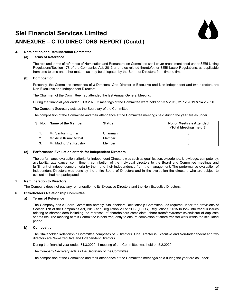

### **ANNEXURE – C TO DIRECTORS' REPORT (Contd.)**

#### **4. Nomination and Remuneration Committee**

#### **(a) Terms of Reference**

 The role and terms of reference of Nomination and Remuneration Committee shall cover areas mentioned under SEBI Listing Regulations/Section 178 of the Companies Act, 2013 and rules related thereto/other SEBI Laws/ Regulations, as applicable from time to time and other matters as may be delegated by the Board of Directors from time to time.

#### **(b) Composition**

 Presently, the Committee comprises of 3 Directors. One Director is Executive and Non-Independent and two directors are Non-Executive and Independent Directors.

The Chairman of the Committee had attended the last Annual General Meeting.

 During the financial year ended 31.3.2020, 3 meetings of the Committee were held on 23.5.2019, 31.12.2019 & 14.2.2020.

The Company Secretary acts as the Secretary of the Committee.

The composition of the Committee and their attendance at the Committee meetings held during the year are as under:

| SI. No. | Name of the Member     | <b>Status</b> | No. of Meetings Attended<br>(Total Meetings held 3) |
|---------|------------------------|---------------|-----------------------------------------------------|
|         | Mr. Santosh Kumar      | Chairman      |                                                     |
|         | Mr. Arun Kumar Mithal  | Member        |                                                     |
|         | Mr. Madhu Vrat Kaushik | Member        |                                                     |

#### **(c) Performance Evaluation criteria for Independent Directors**

 The performance evaluation criteria for Independent Directors was such as qualification, experience, knowledge, competency, availability, attendance, commitment, contribution of the individual directors to the Board and Committee meetings and fulfillment of independence criteria by them and their independence from the management. The performance evaluation of Independent Directors was done by the entire Board of Directors and in the evaluation the directors who are subject to evaluation had not participated

#### **5. Remuneration to Directors**

The Company does not pay any remuneration to its Executive Directors and the Non-Executive Directors.

#### **6. Stakeholders Relationship Committee**

#### **a) Terms of Reference**

 The Company has a Board Committee namely 'Stakeholders Relationship Committee', as required under the provisions of Section 178 of the Companies Act, 2013 and Regulation 20 of SEBI (LODR) Regulations, 2015 to look into various issues relating to shareholders including the redressal of shareholders complaints, share transfers/transmission/issue of duplicate shares etc. The meeting of this Committee is held frequently to ensure completion of share transfer work within the stipulated period.

#### **b) Composition**

 The Stakeholder Relationship Committee comprises of 3 Directors. One Director is Executive and Non-Independent and two directors are Non-Executive and Independent Directors.

 During the financial year ended 31.3.2020, 1 meeting of the Committee was held on 5.2.2020.

The Company Secretary acts as the Secretary of the Committee.

The composition of the Committee and their attendance at the Committee meeting/s held during the year are as under: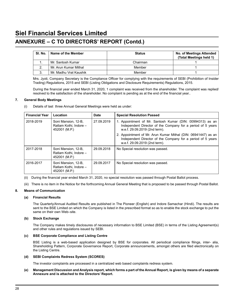### **ANNEXURE – C TO DIRECTORS' REPORT (Contd.)**

| SI. No. | Name of the Member     | <b>Status</b> | No. of Meetings Attended<br>(Total Meetings held 1) |
|---------|------------------------|---------------|-----------------------------------------------------|
|         | Mr. Santosh Kumar      | Chairman      |                                                     |
|         | Mr. Arun Kumar Mithal  | Member        |                                                     |
|         | Mr. Madhu Vrat Kaushik | Member        |                                                     |

 Mrs. Jyoti, Company Secretary is the Compliance Officer for complying with the requirements of SEBI (Prohibition of Insider Trading) Regulations, 2015 and SEBI (Listing Obligations and Disclosure Requirements) Regulations, 2015.

 During the financial year ended March 31, 2020, 1 complaint was received from the shareholder. The complaint was replied/ resolved to the satisfaction of the shareholder. No complaint is pending as at the end of the financial year..

#### **7. General Body Meetings**

(i) Details of last three Annual General Meetings were held as under:

| <b>Financial Year</b> | Location                                                       | Date       | <b>Special Resolution Passed</b>                                                                                                                              |
|-----------------------|----------------------------------------------------------------|------------|---------------------------------------------------------------------------------------------------------------------------------------------------------------|
| 2018-2019             | Soni Mansion, 12-B.<br>Ratlam Kothi, Indore -<br>452001 (M.P.) | 27.09.2019 | 1. Appointment of Mr. Santosh Kumar (DIN: 00994313) as an<br>Independent Director of the Company for a period of 5 years<br>w.e.f. 29.09.2019 (2nd term).     |
|                       |                                                                |            | 2. Appointment of Mr. Arun Kumar Mithal (DIN: 06941447) as an<br>Independent Director of the Company for a period of 5 years<br>w.e.f. 29.09.2019 (2nd term). |
| 2017-2018             | Soni Mansion, 12-B.<br>Ratlam Kothi, Indore -<br>452001 (M.P.) | 29.09.2018 | No Special resolution was passed.                                                                                                                             |
| 2016-2017             | Soni Mansion, 12-B.<br>Ratlam Kothi, Indore -<br>452001 (M.P.) | 29.09.2017 | No Special resolution was passed.                                                                                                                             |

(ii) During the financial year ended March 31, 2020, no special resolution was passed through Postal Ballot process.

(iii) There is no item in the Notice for the forthcoming Annual General Meeting that is proposed to be passed through Postal Ballot.

#### **8. Means of Communication**

#### **(a) Financial Results**

The Quarterly/Annual Audited Results are published in The Pioneer (English) and Indore Samachar (Hindi). The results are sent to the BSE Limited on which the Company is listed in the prescribed format so as to enable the stock exchange to put the same on their own Web–site.

#### **(b) Stock Exchange**

 The Company makes timely disclosures of necessary information to BSE Limited (BSE) in terms of the Listing Agreement(s) and other rules and regulations issued by SEBI.

#### **(c) BSE Corporate Compliance and Listing Centre**

 BSE Listing is a web-based application designed by BSE for corporates. All periodical compliance filings, inter- alia, Shareholding Pattern, Corporate Governance Report, Corporate announcements, amongst others are filed electronically on the Listing Centre.

#### **(d) SEBI Complaints Redress System (SCORES)**

 The investor complaints are processed in a centralized web based complaints redress system.

#### **(e) Management Discussion and Analysis report, which forms a part of the Annual Report, is given by means of a separate Annexure and is attached to the Directors' Report.**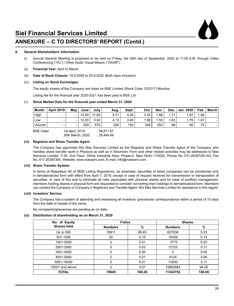

### **ANNEXURE – C TO DIRECTORS' REPORT (Contd.)**

#### **9. General Shareholders' Information**

- (i) Annual General Meeting is proposed to be held on Friday, the 25th day of September, 2020 at 11.00 A.M. through Video Conferencing ("VC") / Other Audio Visual Means ("OAVM").
- (ii) **Financial Year:** April to March
- (iii) **Date of Book Closure:** 19.9.2020 to 25.9.2020 (Both days inclusive)

#### (iv) **Listing on Stock Exchanges:**

The equity shares of the Company are listed on BSE Limited (Stock Code: 532217) Mumbai.

 Listing fee for the financial year 2020-2021 has been paid to BSE Ltd.

#### (v) **Stock Market Data for the financial year ended March 31, 2020**

| <b>Month</b> | <b>April 2019</b> | Mav | June  | July ' | Aug. | Sept. | Oct. | Nov. |      | Dec.   Jan. 2020 | Feb. | March |
|--------------|-------------------|-----|-------|--------|------|-------|------|------|------|------------------|------|-------|
| High         | -                 |     | 13.50 | 11.60  | 5.71 | 4.05  | 3.35 | .66  | 1.71 | 1.87             | 1.96 |       |
| Low          | -                 |     | 12.20 | 5.82   | 4.13 | 3.40  | 1.69 | 1.50 | 1.63 | 1.79             | 1.87 | -     |
| Volume       | -                 | -   | 200   | 670    | 280  | 152   | 348  | 253  | 98   | 46               | 75   | -     |
|              |                   |     |       |        |      |       |      |      |      |                  |      |       |

BSE Index 1st April, 2019 : 38,871.87<br>29th March. 2020 : 29.464.49 29th March, 2020

#### **(vi) Registrar and Share Transfer Agent**

 The Company has appointed M/s Mas Services Limited as the Registrar and Share Transfer Agent of the Company who handles share transfer work in Physical as well as in Electronic Form and other related activities may be addressed to Mas Services Limited, T-34, 2nd Floor, Okhla Industrial Area, Phase-II, New Delhi–110020, Phone No.:011-26387281-83, Fax No.:011-26387384, Website: www.masserv.com, E-mail: info@masserv.com.

#### **(vii) Share Transfer System**

 In terms of Regulation 40 of SEBI Listing Regulations, as amended, securities of listed companies can be transferred only in dematerialized form with effect from April 1, 2019, except in case of request received for transmission or transposition of securities. In view of this and to eliminate all risks associated with physical shares and for ease of portfolio management, members holding shares in physical form are requested to consider converting their holdings to dematerialized form. Members can contact the Company or Company's Registrars and Transfer Agent, M/s Mas Services Limited for assistance in this regard.

#### **(viii) Investors' Service**

 The Company has a system of attending and redressing all investors' grievances/ correspondence within a period of 10 days from the date of receipt of the same.

No complaints/grievances are pending as on date.

#### **(ix) Distribution of shareholding as on March 31, 2020**

| No. of Equity      | <b>Folios</b>  |        | <b>Shares</b>  |        |
|--------------------|----------------|--------|----------------|--------|
| <b>Shares held</b> | <b>Numbers</b> | %      | <b>Numbers</b> | %      |
| Up to $500$        | 19911          | 99.83  | 627036         | 5.53   |
| 501-1000           | 20             | 0.10   | 15409          | 0.14   |
| 1001-2000          | 3              | 0.01   | 3775           | 0.03   |
| 2001-3000          | 5              | 0.03   | 12725          | 0.11   |
| 3001-4000          | 0              | 0.00   | 0              | 0.00   |
| 4001-5000          | 2              | 0.01   | 9125           | 0.08   |
| 5001-10000         | 2              | 0.01   | 13000          | 0.11   |
| 10001 and above    | 2              | 0.01   | 10662682       | 94.00  |
| <b>TOTAL</b>       | 19945          | 100.00 | 11343752       | 100.00 |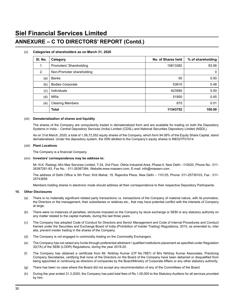### **ANNEXURE – C TO DIRECTORS' REPORT (Contd.)**

#### (x) **Categories of shareholders as on March 31, 2020**

| SI. No. | Category                  | No. of Shares held | % of shareholding |
|---------|---------------------------|--------------------|-------------------|
| 1.      | Promoters' Shareholding   | 10613382           | 93.56             |
| 2.      | Non-Promoter shareholding |                    | 0                 |
| (a)     | <b>Banks</b>              | 50                 | 0.00              |
| (b)     | <b>Bodies Corporate</b>   | 53910              | 0.48              |
| (c)     | Individuals               | 623585             | 5.50              |
| (d)     | <b>NRIS</b>               | 51950              | 0.45              |
| (e)     | <b>Clearing Members</b>   | 875                | 0.01              |
|         | Total                     | 11343752           | 100.00            |

#### (xii) **Dematerialization of shares and liquidity**

 The shares of the Company are compulsorily traded in dematerialized form and are available for trading on both the Depository Systems in India – Central Depository Services (India) Limited (CDSL) and National Securities Depository Limited (NSDL).

 As on 31st March, 2020, a total of 1,06,72,552 equity shares of the Company, which form 94.08% of the Equity Share Capital, stand dematerialised. Under the depository system, the ISIN allotted to the Company's equity shares is INE027F01014.

#### (xiii) **Plant Locations**

 The Company is a financial Company.

#### (xiv) **Investors' correspondence may be address to:**

 Mr. N.K. Rastogi, M/s Mas Services Limited, T-34, 2nd Floor, Okhla Industrial Area, Phase-II, New Delhi –110020, Phone No.: 011- 26387281-83, Fax No. : 011-26387384, Website:www.masserv.com, E-mail: info@masserv.com

 The address of Delhi Office is 5th Floor, Kirti Mahal, 19, Rajendra Place, New Delhi – 110125, Phone: 011-25739103, Fax : 011- 25743659

Members holding shares in electronic mode should address all their correspondence to their respective Depository Participants.

#### **10. Other Disclosures**

- (a) There is no materially significant related party transactions i.e. transactions of the Company of material nature, with its promoters, the Directors or the management, their subsidiaries or relatives etc., that may have potential conflict with the interests of Company at large.
- (b) There were no instances of penalties, strictures imposed on the Company by stock exchange or SEBI or any statutory authority on any matter related to the capital markets, during the last three years.
- (c) The Company has adopted Code of Conduct for Directors and Senior Management and Code of Internal Procedures and Conduct framed under the Securities and Exchange Board of India (Prohibition of Insider Trading) Regulations, 2015, as amended to, inter alia, prevent insider trading in the shares of the Company.
- (d) The Company is not engaged in commodity trading on the Commodity Exchange/s.
- (e) The Company has not raised any funds through preferential allotment / qualified institutions placement as specified under Regulation 32(7A) of the SEBI (LODR) Regulations, during the year 2019-20.
- (f) The Company has obtained a certificate from Mr. Nirbhay Kumar (CP No.7887) of M/s Nirbhay Kumar Associates, Practicing Company Secretaries, certifying that none of the Directors on the Board of the Company have been debarred or disqualified from being appointed or continuing as directors of companies by the Board/Ministry of Corporate Affairs or any other statutory authority.
- (g) There has been no case where the Board did not accept any recommendation of any of the Committees of the Board.
- (h) During the year ended 31.3.2020, the Company has paid total fees of Rs.1,00,000 to the Statutory Auditors for all services provided by him.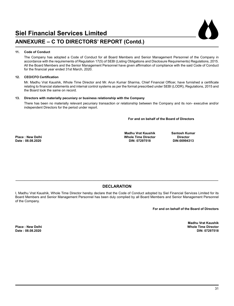

#### **11. Code of Conduct**

The Company has adopted a Code of Conduct for all Board Members and Senior Management Personnel of the Company in accordance with the requirements of Regulation 17(5) of SEBI (Listing Obligations and Disclosure Requirements) Regulations, 2015. All the Board Members and the Senior Management Personnel have given affirmation of compliance with the said Code of Conduct for the financial year ended 31st March, 2020.

#### **12. CEO/CFO Certification**

 Mr. Madhu Vrat Kaushik, Whole Time Director and Mr. Arun Kumar Sharma, Chief Financial Officer, have furnished a certificate relating to financial statements and internal control systems as per the format prescribed under SEBI (LODR), Regulations, 2015 and the Board took the same on record.

#### **13. Directors with materially pecuniary or business relationship with the Company**

There has been no materially relevant pecuniary transaction or relationship between the Company and its non- executive and/or independent Directors for the period under report.

#### **For and on behalf of the Board of Directors**

 $Date: 08.08.2020$ 

 **Madhu Vrat Kaushik Santosh Kumar Phace Time Director Circuit Concernsive Circuit Director**<br>DIN: 07297518 DIN:00994313

#### **\_\_\_\_\_\_\_\_\_\_\_\_\_\_\_\_\_\_\_\_\_\_\_\_\_\_\_\_\_\_\_\_\_\_\_\_\_\_\_\_\_\_\_\_\_\_\_\_\_\_\_\_\_\_\_\_\_\_\_\_\_\_\_\_\_\_\_\_\_\_\_\_\_\_\_\_\_\_\_\_\_\_\_\_\_\_\_\_\_\_\_\_\_\_\_\_\_\_\_\_\_\_\_\_\_\_\_\_\_\_\_\_\_ DECLARATION**

I, Madhu Vrat Kaushik, Whole Time Director hereby declare that the Code of Conduct adopted by Siel Financial Services Limited for its Board Members and Senior Management Personnel has been duly complied by all Board Members and Senior Management Personnel of the Company.

**For and on behalf of the Board of Directors**

Madhu Vrat Kaushik<br>Place : New Delhi **Place : New Delhi Whole Time Director Date : 08.08.2020 DIN: 07297518**

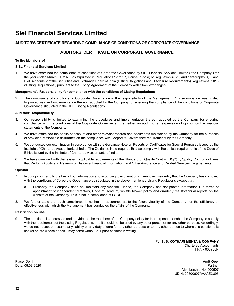#### **AUDITOR'S CERTIFICATE REGARDING COMPLIANCE OF CONDITIONS OF CORPORATE GOVERNANCE**

#### **AUDITORS' CERTIFICATE ON CORPORATE GOVERNANCE**

#### **To the Members of**

#### **SIEL Financial Services Limited**

1. We have examined the compliance of conditions of Corporate Governance by SIEL Financial Services Limited ("the Company") for the year ended March 31, 2020, as stipulated in Regulations 17 to 27, clause (b) to (i) of Regulation 46 (2) and paragraphs C, D and E of Schedule V of the Securities and Exchange Board of India (Listing Obligations and Disclosure Requirements) Regulations, 2015 ('Listing Regulations') pursuant to the Listing Agreement of the Company with Stock exchanges.

#### **Management's Responsibility for compliance with the conditions of Listing Regulations**

2. The compliance of conditions of Corporate Governance is the responsibility of the Management. Our examination was limited to procedures and implementation thereof, adopted by the Company for ensuring the compliance of the conditions of Corporate Governance stipulated in the SEBI Listing Regulations.

#### **Auditors' Responsibility**

- 3. Our responsibility is limited to examining the procedures and implementation thereof, adopted by the Company for ensuring compliance with the conditions of the Corporate Governance. It is neither an audit nor an expression of opinion on the financial statements of the Company.
- 4. We have examined the books of account and other relevant records and documents maintained by the Company for the purposes of providing reasonable assurance on the compliance with Corporate Governance requirements by the Company.
- 5. We conducted our examination in accordance with the Guidance Note on Reports or Certificates for Special Purposes issued by the Institute of Chartered Accountants of India. The Guidance Note requires that we comply with the ethical requirements of the Code of Ethics issued by the Institute of Chartered Accountants of India.
- 6. We have complied with the relevant applicable requirements of the Standard on Quality Control (SQC) 1, Quality Control for Firms that Perform Audits and Reviews of Historical Financial Information, and Other Assurance and Related Services Engagements.

#### **Opinion**

- 7. In our opinion, and to the best of our information and according to explanations given to us, we certify that the Company has complied with the conditions of Corporate Governance as stipulated in the above-mentioned Listing Regulations except that:
	- a. Presently the Company does not maintain any website. Hence, the Company has not posted information like terms of appointment of independent directors, Code of Conduct, whistle blower policy and quarterly results/annual reports on the website of the Company. This is not in compliance of LODR.
- 8. We further state that such compliance is neither an assurance as to the future viability of the Company nor the efficiency or effectiveness with which the Management has conducted the affairs of the Company.

#### **Restriction on use**

9. The certificate is addressed and provided to the members of the Company solely for the purpose to enable the Company to comply with the requirement of the Listing Regulations, and it should not be used by any other person or for any other purpose. Accordingly, we do not accept or assume any liability or any duty of care for any other purpose or to any other person to whom this certificate is shown or into whose hands it may come without our prior consent in writing.

> For **S. S. KOTHARI MEHTA & COMPANY** Chartered Accountants FRN - 000756N

Place: Delhi **Amit Goel** Date: 08.08.2020 Partner Membership No. 500607 UDIN: 20500607AAAAEX895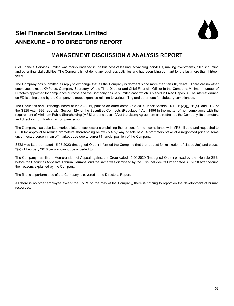

### **MANAGEMENT DISCUSSION & ANALYSIS REPORT**

Siel Financial Services Limited was mainly engaged in the business of leasing, advancing loan/lCDs, making investments, bill discounting and other financial activities. The Company is not doing any business activities and had been lying dormant for the last more than thirteen years.

The Company has submitted its reply to exchange that as the Company is dormant since more than ten (10) years. There are no other employees except KMPs i.e. Company Secretary, Whole Time Director and Chief Financial Officer in the Company. Minimum number of Directors appointed for compliance purpose and the Company has very limited cash which is placed in Fixed Deposits. The interest earned on FD is being used by the Company to meet expenses relating to various filing and other fees for statutory compliances.

The Securities and Exchange Board of India (SEBI) passed an order dated 26.8.2014 under Section 11(1), 11(2)(j), 11(4) and 11B of the SEBI Act, 1992 read with Section 12A of the Securities Contracts (Regulation) Act, 1956 in the matter of non-compliance with the requirement of Minimum Public Shareholding (MPS) under clause 40A of the Listing Agreement and restrained the Company, its promoters and directors from trading in company scrip.

The Company has submitted various letters, submissions explaining the reasons for non-compliance with MPS till date and requested to SEBI for approval to reduce promoter's shareholding below 75% by way of sale of 20% promoters stake at a negotiated price to some unconnected person in an off market trade due to current financial position of the Company.

SEBI vide its order dated 15.06.2020 (Impugned Order) informed the Company that the request for relaxation of clause 2(a) and clause 3{a) of February 2018 circular cannot be acceded to.

The Company has filed a Memorandum of Appeal against the Order dated 15.06.2020 (Impugned Order) passed by the Hon'ble SEBI before the Securities Appellate Tribunal, Mumbai and the same was dismissed by the Tribunal vide its Order dated 3.8.2020 after hearing the reasons explained by the Company.

The financial performance of the Company is covered in the Directors' Report.

As there is no other employee except the KMPs on the rolls of the Company, there is nothing to report on the development of human resources.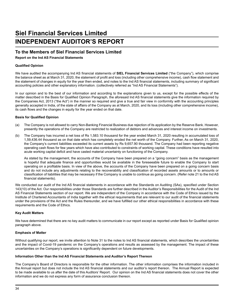# **Siel Financial Services Limited INDEPENDENT AUDITOR'S REPORT**

#### **To the Members of Siel Financial Services Limited**

**Report on the Ind AS Financial Statements**

#### **Qualified Opinion**

We have audited the accompanying Ind AS financial statements of **SIEL Financial Services Limited** ("the Company"), which comprise the balance sheet as at March 31, 2020, the statement of profit and loss (including other comprehensive income), cash flow statement and the statement of changes in equity for the year then ended, and notes to the Ind AS financial statements, including summary of significant accounting policies and other explanatory information. (collectively referred as "Ind AS Financial Statements").

In our opinion and to the best of our information and according to the explanations given to us, except for the possible effects of the matter described in the Basis for Qualified Opinion Paragraph, the aforesaid Ind AS financial statements give the information required by the Companies Act, 2013 ("the Act") in the manner so required and give a true and fair view in conformity with the accounting principles generally accepted in India, of the state of affairs of the Company as at March, 2020, and its loss (including other comprehensive income), its cash flows and the changes in equity for the year ended on that date.

#### **Basis for Qualified Opinion**

- (a) The Company is not allowed to carry Non-Banking Financial Business due rejection of its application by the Reserve Bank. However, presently the operations of the Company are restricted to realization of debtors and advances and interest income on investments.
- (b) The Company has incurred a net loss of Rs 1,583.10 thousand for the year ended March 31, 2020 resulting in accumulated loss of 1,59,436.44 thousand as on that date which has completely eroded the net worth of the Company. Further, As on March 31, 2020, the Company's current liabilities exceeded its current assets by Rs 9,657.90 thousand. The Company had been reporting negative operating cash flows for few years which have also contributed to constraints of working capital. These conditions have resulted into acute working capital deficit and have casted material uncertainty on functioning of the Company.

As stated by the management, the accounts of the Company have been prepared on a "going concern" basis as the management is hopeful that adequate finance and opportunities would be available in the foreseeable future to enable the Company to start operating on a profitable basis. In view of the above, the accounts of the Company have been prepared on a going concern basis and do not include any adjustments relating to the recoverability and classification of recorded assets amounts or to amounts or classification of liabilities that may be necessary if the Company is unable to continue as going concern. (Refer note 21 to the Ind AS financial statements).

We conducted our audit of the Ind AS financial statements in accordance with the Standards on Auditing (SAs), specified under Section 143(10) of the Act. Our responsibilities under those Standards are further described in the Auditor's Responsibilities for the Audit of the Ind AS Financial Statements section of our report. We are independent of the Company in accordance with the Code of Ethics issued by the Institute of Chartered Accountants of India together with the ethical requirements that are relevant to our audit of the financial statements under the provisions of the Act and the Rules thereunder, and we have fulfilled our other ethical responsibilities in accordance with these requirements and the Code of Ethics.

#### **Key Audit Matters**

We have determined that there are no key audit matters to communicate in our report except as reported under Basis for Qualified opinion paragraph above.

#### **Emphasis of Matter**

Without qualifying our report, we invite attention to Note 31 to the notes to Ind AS financial statements, which describes the uncertainties and the impact of Covid-19 pandemic on the Company's operations and results as assessed by the management. The impact of these uncertainties on the Company's operations is significantly dependent on future developments.

#### **Information Other than the Ind AS Financial Statements and Auditor's Report Thereon**

The Company's Board of Directors is responsible for the other information. The other information comprises the information included in the Annual report but does not include the Ind AS financial statements and our auditor's report thereon. The Annual Report is expected to be made available to us after the date of this Auditors' Report. Our opinion on the Ind AS financial statements does not cover the other information and we do not express any form of assurance conclusion thereon.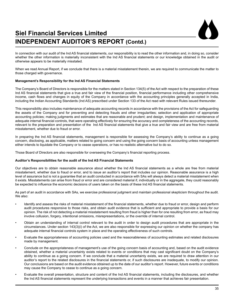# **Siel Financial Services Limited INDEPENDENT AUDITOR'S REPORT (Contd.)**



In connection with our audit of the Ind AS financial statements, our responsibility is to read the other information and, in doing so, consider whether the other information is materially inconsistent with the Ind AS financial statements or our knowledge obtained in the audit or otherwise appears to be materially misstated.

When we read Annual Report, if we conclude that there is a material misstatement therein, we are required to communicate the matter to those charged with governance.

#### **Management's Responsibility for the Ind AS Financial Statements**

The Company's Board of Directors is responsible for the matters stated in Section 134(5) of the Act with respect to the preparation of these Ind AS financial statements that give a true and fair view of the financial position, financial performance including other comprehensive income, cash flows and changes in equity of the Company in accordance with the accounting principles generally accepted in India, including the Indian Accounting Standards (Ind AS) prescribed under Section 133 of the Act read with relevant Rules issued thereunder.

This responsibility also includes maintenance of adequate accounting records in accordance with the provisions of the Act for safeguarding the assets of the Company and for preventing and detecting frauds and other irregularities; selection and application of appropriate accounting policies; making judgments and estimates that are reasonable and prudent; and design, implementation and maintenance of adequate internal financial controls, that were operating effectively for ensuring the accuracy and completeness of the accounting records, relevant to the preparation and presentation of the Ind AS financial statements that give a true and fair view and are free from material misstatement, whether due to fraud or error.

In preparing the Ind AS financial statements, management is responsible for assessing the Company's ability to continue as a going concern, disclosing, as applicable, matters related to going concern and using the going concern basis of accounting unless management either intends to liquidate the Company or to cease operations, or has no realistic alternative but to do so.

Those Board of Directors are also responsible for overseeing the Company's financial reporting process.

#### **Auditor's Responsibilities for the audit of the Ind AS Financial Statements**

Our objectives are to obtain reasonable assurance about whether the Ind AS financial statements as a whole are free from material misstatement, whether due to fraud or error, and to issue an auditor's report that includes our opinion. Reasonable assurance is a high level of assurance but is not a guarantee that an audit conducted in accordance with SAs will always detect a material misstatement when it exists. Misstatements can arise from fraud or error and are considered material if, individually or in the aggregate, they could reasonably be expected to influence the economic decisions of users taken on the basis of these Ind AS financial statements.

As part of an audit in accordance with SAs, we exercise professional judgment and maintain professional skepticism throughout the audit. We also:

- Identify and assess the risks of material misstatement of the financial statements, whether due to fraud or error, design and perform audit procedures responsive to those risks, and obtain audit evidence that is sufficient and appropriate to provide a basis for our opinion. The risk of not detecting a material misstatement resulting from fraud is higher than for one resulting from error, as fraud may involve collusion, forgery, intentional omissions, misrepresentations, or the override of internal control.
- Obtain an understanding of internal control relevant to the audit in order to design audit procedures that are appropriate in the circumstances. Under section 143(3)(i) of the Act, we are also responsible for expressing our opinion on whether the company has adequate internal financial controls system in place and the operating effectiveness of such controls.
- Evaluate the appropriateness of accounting policies used and the reasonableness of accounting estimates and related disclosures made by management.
- Conclude on the appropriateness of management's use of the going concern basis of accounting and, based on the audit evidence obtained, whether a material uncertainty exists related to events or conditions that may cast significant doubt on the Company's ability to continue as a going concern. If we conclude that a material uncertainty exists, we are required to draw attention in our auditor's report to the related disclosures in the financial statements or, if such disclosures are inadequate, to modify our opinion. Our conclusions are based on the audit evidence obtained up to the date of our auditor's report. However, future events or conditions may cause the Company to cease to continue as a going concern.
- Evaluate the overall presentation, structure and content of the Ind AS financial statements, including the disclosures, and whether the Ind AS financial statements represent the underlying transactions and events in a manner that achieves fair presentation.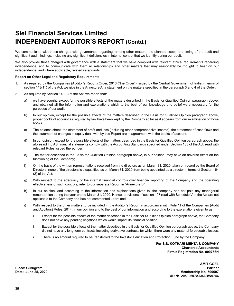# **Siel Financial Services Limited INDEPENDENT AUDITOR'S REPORT (Contd.)**

We communicate with those charged with governance regarding, among other matters, the planned scope and timing of the audit and significant audit findings, including any significant deficiencies in internal control that we identify during our audit.

We also provide those charged with governance with a statement that we have complied with relevant ethical requirements regarding independence, and to communicate with them all relationships and other matters that may reasonably be thought to bear on our independence, and where applicable, related safeguards.

#### **Report on Other Legal and Regulatory Requirements**

- 1. As required by the Companies (Auditor's Report) Order, 2016 ("the Order") issued by the Central Government of India in terms of section 143(11) of the Act, we give in the Annexure A, a statement on the matters specified in the paragraph 3 and 4 of the Order.
- 2. As required by Section 143(3) of the Act, we report that:
	- a) we have sought, except for the possible effects of the matters described in the Basis for Qualified Opinion paragraph above, and obtained all the information and explanations which to the best of our knowledge and belief were necessary for the purposes of our audit.
	- b) In our opinion, except for the possible effects of the matters described in the Basis for Qualified Opinion paragraph above, proper books of account as required by law have been kept by the Company so far as it appears from our examination of those books.
	- c) The balance sheet, the statement of profit and loss (including other comprehensive income), the statement of cash flows and the statement of changes in equity dealt with by this Report are in agreement with the books of account.
	- d) In our opinion, except for the possible effects of the matters described in the Basis for Qualified Opinion paragraph above, the aforesaid Ind AS financial statements comply with the Accounting Standards specified under Section 133 of the Act, read with relevant Rules issued thereunder;
	- e) The matter described in the Basis for Qualified Opinion paragraph above, in our opinion, may have an adverse effect on the functioning of the Company;
	- f) On the basis of the written representations received from the directors as on March 31, 2020 taken on record by the Board of Directors, none of the directors is disqualified as on March 31, 2020 from being appointed as a director in terms of Section 164 (2) of the Act;
	- g) With respect to the adequacy of the internal financial controls over financial reporting of the Company and the operating effectiveness of such controls, refer to our separate Report in "Annexure B";
	- h) In our opinion, and according to the information and explanations given to, the company has not paid any managerial remuneration during the year ended March 31, 2020. Hence, provisions of section 197 read with Schedule V to the Act are not applicable to the Company and has not commented upon; and
	- i) With respect to the other matters to be included in the Auditor's Report in accordance with Rule 11 of the Companies (Audit and Auditors) Rules, 2014, in our opinion and to the best of our information and according to the explanations given to us:
		- i. Except for the possible effects of the matter described in the Basis for Qualified Opinion paragraph above, the Company does not have any pending litigations which would impact its financial position;
		- ii. Except for the possible effects of the matter described in the Basis for Qualified Opinion paragraph above, the Company did not have any long term contracts including derivative contracts for which there were any material foreseeable losses;
		- iii. There is no amount required to be transferred to the Investor Education and Protection Fund by the Company.

**For S.S. KOTHARI MEHTA & COMPANY Chartered Accountants Firm's Registration No. 000756N**

> **AMIT GOEL Membership No. 500607 UDIN: 20500607AAAADW9746**

Place: Gurugram<br>Date: June 25, 2020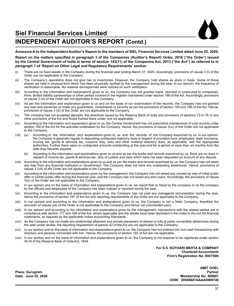# **INDEPENDENT AUDITOR'S REPORT (Contd.)**

**Annexure A to the Independent Auditor's Report to the members of SIEL Financial Services Limited dated June 25, 2020.**

**Report on the matters specified in paragraph 3 of the Companies (Auditor's Report) Order, 2016 ("the Order') issued by the Central Government of India in terms of section 143(11) of the Companies Act, 2013 ("the Act") as referred to in paragraph 1 of 'Report on Other Legal and Regulatory Requirements' section**

- (i) There are no fixed assets in the Company during the financial year ending March 31, 2020. Accordingly, provisions of clause 3 (i) of the Order are not applicable to the Company.
- (ii) The Company's operations does not give rise to inventories. However, the Company hold shares as stock in trade. Some of those shares are held in physical form which has been physically verified by the management during the year. In our opinion, the frequency of verification is reasonable. No material discrepancies were noticed on such verification.
- (iii) According to the information and explanations given to us, the Company has not granted loans, secured or unsecured to companies, firms, limited liability partnerships or other parties covered in the register maintained under section 189 of the Act. Accordingly, provisions of clause 3 (iii) of the Order are not applicable to the Company.
- (iv) As per the information and explanation given to us and on the basis of our examination of the records, the Company has not granted any loan and advances or made any guarantees, investments or security as per the provisions of section 185 and 186 of the Act. Hence, provisions of clause 3 (iii) of the Order are not applicable to the Company.
- (v) The company has not accepted deposits, the directives issued by the Reserve Bank of India and provisions of sections 73 to 76 or any other provisions of the Act and Rules framed there under, are not applicable.
- (vi) According to the information and explanation given to us, the Central Government has not prescribed maintenance of cost records under section 148 of the Act for the activities undertaken by the Company. Hence, the provisions of clause 3(vi) of the Order are not applicable to the Company.
- (vii) (a) According to the information and explanations given to us and the records of the Company examined by us, in our opinion, the Company is generally regular in depositing undisputed statutory dues in respect of provident fund, employees' state insurance, income tax, goods & services tax, customs duty, cess and other material statutory dues, as applicable, with the appropriate authorities. Further there were no undisputed amounts outstanding at the year-end for a period of more than six months from the date they became payable.
	- According to the information and explanations given to us and as per the books and records examined by us, there are no dues in respect of income tax, goods & services tax, duty of custom and cess which have not been deposited on account of any dispute.
- (viii) According to the information and explanations given to us and as per the books and records examined by us, the Company has not taken any loan from any financial institution or Government. The Company does not have any outstanding debentures. Hence, provisions of clause 3 (viii) of the Order are not applicable to the Company.
- (ix) According to the information and explanations given by the management, the Company has not raised any monies by way of initial public offer or further public offer during the financial year, and the Company has not raised any term loans. Accordingly, the provisions of clause 3(ix) of the Order are not applicable to the Company.
- (x) In our opinion and on the basis of information and explanations given to us, we report that no fraud by the company or on the company by the officers and employees of the Company has been noticed or reported during the year.
- (xi) According to the information and explanations given to us, the Company has not paid any managerial remuneration during the year, hence the provisions of section 197 of the Act and reporting requirements of the Order are not applicable to the Company.
- (xii) In our opinion and according to the information and explanations given to us, the Company is not a Nidhi Company, therefore the provision of clause (xii) of the Order is not applicable to the Company and hence not commented upon.
- (xiii) In our opinion and according to the information and explanations given by the management, transactions with the related parties are in compliance with section 177 and 188 of the Act, where applicable and the details have been disclosed in the notes to the Ind AS financial statements, as required by the applicable Indian Accounting Standards.
- (xiv) As the Company has not made any preferential allotment and private placement of shares or fully & partly convertible debentures during the year under review, the reporting requirement of section 42 of the Act are not applicable to the Company.
- (xv) In our opinion and on the basis of information and explanations given to us, the Company has not entered into non-cash transactions with directors and persons connected with him. Hence, the provisions of section 192 of Act are not applicable.
- (xvi) In our opinion and on the basis of information and explanations given to us, the Company is not required to be registered under section 45-IA of the Reserve Bank of India Act, 1934.

**For S.S. KOTHARI MEHTA & COMPANY Chartered Accountants Firm's Registration No. 000756N**

> **AMIT GOEL Date: June 25, 2020 Membership No. 500607 UDIN: 20500607AAAADW9746**

Place: Gurugram<br>Date: June 25, 2020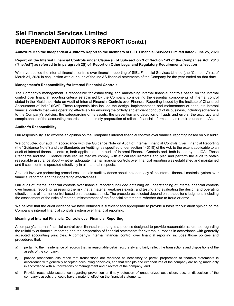# **Siel Financial Services Limited INDEPENDENT AUDITOR'S REPORT (Contd.)**

#### **Annexure B to the Independent Auditor's Report to the members of SIEL Financial Services Limited dated June 25, 2020**

#### **Report on the Internal Financial Controls under Clause (i) of Sub-section 3 of Section 143 of the Companies Act, 2013 ("the Act") as referred to in paragraph 2(f) of 'Report on Other Legal and Regulatory Requirements' section**

We have audited the internal financial controls over financial reporting of SIEL Financial Services Limited (the "Company") as of March 31, 2020 in conjunction with our audit of the Ind AS financial statements of the Company for the year ended on that date.

#### **Management's Responsibility for Internal Financial Controls**

The Company's management is responsible for establishing and maintaining internal financial controls based on the internal control over financial reporting criteria established by the Company considering the essential components of internal control stated in the "Guidance Note on Audit of Internal Financial Controls over Financial Reporting issued by the Institute of Chartered Accountants of India" (ICAI). These responsibilities include the design, implementation and maintenance of adequate internal financial controls that were operating effectively for ensuring the orderly and efficient conduct of its business, including adherence to the Company's policies, the safeguarding of its assets, the prevention and detection of frauds and errors, the accuracy and completeness of the accounting records, and the timely preparation of reliable financial information, as required under the Act.

#### **Auditor's Responsibility**

Our responsibility is to express an opinion on the Company's internal financial controls over financial reporting based on our audit.

We conducted our audit in accordance with the Guidance Note on Audit of Internal Financial Controls Over Financial Reporting (the "Guidance Note") and the Standards on Auditing, as specified under section 143(10) of the Act, to the extent applicable to an audit of internal financial controls, both applicable to an audit of Internal Financial Controls and, both issued by the ICAI. Those Standards and the Guidance Note require that we comply with ethical requirements and plan and perform the audit to obtain reasonable assurance about whether adequate internal financial controls over financial reporting was established and maintained and if such controls operated effectively in all material respects.

An audit involves performing procedures to obtain audit evidence about the adequacy of the internal financial controls system over financial reporting and their operating effectiveness.

Our audit of internal financial controls over financial reporting included obtaining an understanding of internal financial controls over financial reporting, assessing the risk that a material weakness exists, and testing and evaluating the design and operating effectiveness of internal control based on the assessed risk. The procedures selected depend on the auditor's judgment, including the assessment of the risks of material misstatement of the financial statements, whether due to fraud or error.

We believe that the audit evidence we have obtained is sufficient and appropriate to provide a basis for our audit opinion on the Company's internal financial controls system over financial reporting.

#### **Meaning of Internal Financial Controls over Financial Reporting**

A company's internal financial control over financial reporting is a process designed to provide reasonable assurance regarding the reliability of financial reporting and the preparation of financial statements for external purposes in accordance with generally accepted accounting principles. A company's internal financial control over financial reporting includes those policies and procedures that:

- a) pertain to the maintenance of records that, in reasonable detail, accurately and fairly reflect the transactions and dispositions of the assets of the company;
- b) provide reasonable assurance that transactions are recorded as necessary to permit preparation of financial statements in accordance with generally accepted accounting principles, and that receipts and expenditures of the company are being made only in accordance with authorizations of management and directors of the company; and
- c) Provide reasonable assurance regarding prevention or timely detection of unauthorized acquisition, use, or disposition of the company's assets that could have a material effect on the financial statements.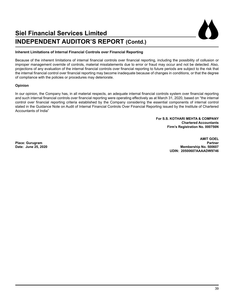# **Siel Financial Services Limited INDEPENDENT AUDITOR'S REPORT (Contd.)**

#### **Inherent Limitations of Internal Financial Controls over Financial Reporting**

Because of the inherent limitations of internal financial controls over financial reporting, including the possibility of collusion or improper management override of controls, material misstatements due to error or fraud may occur and not be detected. Also, projections of any evaluation of the internal financial controls over financial reporting to future periods are subject to the risk that the internal financial control over financial reporting may become inadequate because of changes in conditions, or that the degree of compliance with the policies or procedures may deteriorate.

#### **Opinion**

In our opinion, the Company has, in all material respects, an adequate internal financial controls system over financial reporting and such internal financial controls over financial reporting were operating effectively as at March 31, 2020, based on "the internal control over financial reporting criteria established by the Company considering the essential components of internal control stated in the Guidance Note on Audit of Internal Financial Controls Over Financial Reporting issued by the Institute of Chartered Accountants of India"

> **For S.S. KOTHARI MEHTA & COMPANY Chartered Accountants Firm's Registration No. 000756N**

**AMIT GOEL Place: Gurugram Partner Date: June 25, 2020 Membership No. 500607 UDIN: 20500607AAAADW9746**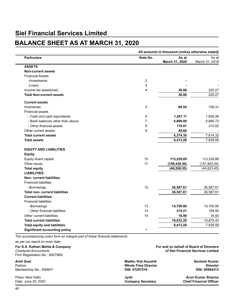# **BALANCE SHEET AS AT MARCH 31, 2020**

|                                       | All amounts in thousand (unless otherwise stated) |                         |                         |  |
|---------------------------------------|---------------------------------------------------|-------------------------|-------------------------|--|
| <b>Particulars</b>                    | Note No.                                          | As at<br>March 31, 2020 | As at<br>March 31, 2019 |  |
| <b>ASSETS</b>                         |                                                   |                         |                         |  |
| <b>Non-current assets</b>             |                                                   |                         |                         |  |
| <b>Financial Assets</b>               |                                                   |                         |                         |  |
| -Investments                          | $\overline{2}$                                    |                         |                         |  |
| -Loans                                | 3                                                 |                         |                         |  |
| Income tax assets(net)                | 4                                                 | 38.96                   | 225.27                  |  |
| <b>Total Non-current assets</b>       |                                                   | 38.96                   | 225.27                  |  |
| <b>Current assets</b>                 |                                                   |                         |                         |  |
| Inventories                           | 5                                                 | 69.54                   | 109.31                  |  |
| <b>Financial assets</b>               |                                                   |                         |                         |  |
| - Cash and cash equivalents           | 6                                                 | 1,267.11                | 1,628.26                |  |
| - Bank balances other than above      | $\overline{7}$                                    | 4,809.06                | 5,666.73                |  |
| - Other financial assets              | 8                                                 | 179.91                  | 210.02                  |  |
| Other current assets                  | 9                                                 | 48.68                   |                         |  |
| <b>Total current assets</b>           |                                                   | 6,374.30                | 7,614.32                |  |
| <b>Total assets</b>                   |                                                   | 6,413.26                | 7,839.59                |  |
| <b>EQUITY AND LIABILITIES</b>         |                                                   |                         |                         |  |
| <b>Equity</b>                         |                                                   |                         |                         |  |
| Equity share capital                  | 10                                                | 113,229.89              | 113,229.89              |  |
| Other equity                          | 11                                                | (159, 436.44)           | (157, 853.34)           |  |
| <b>Total equity</b>                   |                                                   | (46, 206.55)            | (44, 623.45)            |  |
| <b>LIABILITIES</b>                    |                                                   |                         |                         |  |
| <b>Non-current liabilities</b>        |                                                   |                         |                         |  |
| <b>Financial liabilities</b>          |                                                   |                         |                         |  |
| -Borrowings                           | 12                                                | 36,587.61               | 36,587.61               |  |
| <b>Total non- current liabilities</b> |                                                   | 36,587.61               | 36,587.61               |  |
| <b>Current liabilities</b>            |                                                   |                         |                         |  |
| <b>Financial liabilities</b>          |                                                   |                         |                         |  |
| - Borrowings                          | 13                                                | 15,700.00               | 15,700.00               |  |
| - Other financial liabilities         | 14                                                | 315.21                  | 158.50                  |  |
| Other current liabilities             | 15                                                | 16.99                   | 16.93                   |  |
| <b>Total current liabilities</b>      |                                                   | 16,032.20               | 15,875.43               |  |
| <b>Total equity and liabilities</b>   |                                                   | 6,413.26                | 7,839.59                |  |
| <b>Significant accounting policy</b>  | 1                                                 |                         |                         |  |

*The accompanying notes form an integral part of these financial statements*

as per our report on even date

Firm Registration No.: 000756N

**Membership No.: 500607** 

**For S.S. Kothari Mehta & Company For and on behalf of Board of Directors**  *Chartered Accountants* **of Siel Financial Services Limited**

**Amit Goel Madhu Vrat Kaushik Santosh Kumar**  Partner **Whole Time Director Director** 

Place: New Delhi **Jyoti Arun Kumar Sharma**

**Chief Financial Officer**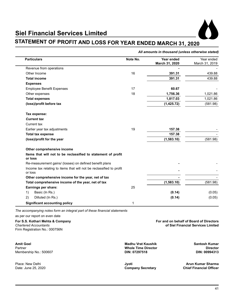

# **STATEMENT OF PROFIT AND LOSS FOR YEAR ENDED MARCH 31, 2020**

| <b>Particulars</b>                                                              | Note No. | Year ended<br>March 31, 2020 | Year ended<br>March 31, 2019 |
|---------------------------------------------------------------------------------|----------|------------------------------|------------------------------|
| Revenue from operations                                                         |          |                              |                              |
| Other Income                                                                    | 16       | 391.31                       | 439.88                       |
| <b>Total income</b>                                                             |          | 391.31                       | 439.88                       |
| <b>Expenses</b>                                                                 |          |                              |                              |
| <b>Employee Benefit Expenses</b>                                                | 17       | 60.67                        |                              |
| Other expenses                                                                  | 18       | 1,756.36                     | 1,021.86                     |
| <b>Total expenses</b>                                                           |          | 1,817.03                     | 1,021.86                     |
| (loss)/profit before tax                                                        |          | (1,425.72)                   | (581.98)                     |
| Tax expense:                                                                    |          |                              |                              |
| <b>Current tax</b>                                                              |          |                              |                              |
| Current tax                                                                     |          |                              |                              |
| Earlier year tax adjustments                                                    | 19       | 157.38                       |                              |
| <b>Total tax expense</b>                                                        |          | 157.38                       |                              |
| (loss)/profit for the year                                                      |          | (1,583.10)                   | (581.98)                     |
| Other comprehensive income                                                      |          |                              |                              |
| Items that will not to be reclassified to statement of profit<br>or loss        |          |                              |                              |
| Re-measurement gains/ (losses) on defined benefit plans                         |          |                              |                              |
| Income tax relating to items that will not be reclassified to profit<br>or loss |          |                              |                              |
| Other comprehensive income for the year, net of tax                             |          |                              |                              |
| Total comprehensive income of the year, net of tax                              |          | (1,583.10)                   | (581.98)                     |
| Earnings per share:                                                             | 25       |                              |                              |
| 1)<br>Basic (In Rs.)                                                            |          | (0.14)                       | (0.05)                       |
| Dilluted (In Rs.)<br>2)                                                         |          | (0.14)                       | (0.05)                       |
| <b>Significant accounting policy</b>                                            | 1        |                              |                              |

*The accompanying notes form an integral part of these financial statements*

as per our report on even date

#### **For S.S. Kothari Mehta & Company For and on behalf of Board of Directors**  *Chartered Accountants* **of Siel Financial Services Limited**

Firm Registration No.: 000756N

**Amit Goel Madhu Vrat Kaushik Santosh Kumar Membership No.: 500607** 

Partner **Whole Time Director Director** 

Place: New Delhi **Jyoti Arun Kumar Sharma**

**Chief Financial Officer**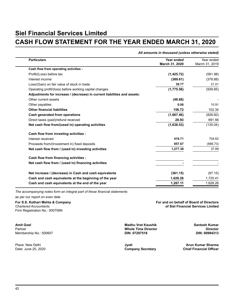# **CASH FLOW STATEMENT FOR THE YEAR ENDED MARCH 31, 2020**

#### *All amounts in thousand (unless otherwise stated)*

| <b>Particulars</b>                                                       | Year ended<br>March 31, 2020 | Year ended<br>March 31, 2019 |
|--------------------------------------------------------------------------|------------------------------|------------------------------|
| Cash flow from operating activities :                                    |                              |                              |
| Profit/(Loss) before tax                                                 | (1,425.72)                   | (581.98)                     |
| Interest income                                                          | (389.61)                     | (378.88)                     |
| Loss/(Gain) on fair value of stock in trade                              | 39.77                        | 21.01                        |
| Operating profit/(loss) before working capital changes                   | (1,775.56)                   | (939.85)                     |
| Adjustments for increase / (decrease) in current liabilities and assets: |                              |                              |
| Other current assets                                                     | (48.68)                      |                              |
| Other payables                                                           | 0.06                         | 10.91                        |
| <b>Other financial liabilities</b>                                       | 156.72                       | 102.34                       |
| Cash generated from operations                                           | (1,667.46)                   | (826.60)                     |
| Direct taxes (paid)/refund received                                      | 28.93                        | 691.56                       |
| Net cash flow from/(used in) operating activities                        | (1,638.53)                   | (135.04)                     |
| Cash flow from investing activities :                                    |                              |                              |
| Interest received                                                        | 419.71                       | 704.62                       |
| Proceeds from/(Investment in) fixed deposits                             | 857.67                       | (666.73)                     |
| Net cash flow from / (used in) investing activities                      | 1,277.38                     | 37.89                        |
| Cash flow from financing activities :                                    |                              |                              |
| Net cash flow from / (used in) financing activities                      |                              |                              |
| Net increase / (decrease) in Cash and cash equivalents                   | (361.15)                     | (97.15)                      |
| Cash and cash equivalents at the beginning of the year                   | 1,628.26                     | 1,725.41                     |
| Cash and cash equivalents at the end of the year                         | 1,267.11                     | 1,628.26                     |

*The accompanying notes form an integral part of these financial statements* as per our report on even date

Firm Registration No.: 000756N

**Amit Goel Madhu Vrat Kaushik Santosh Kumar Membership No.: 500607** 

**For S.S. Kothari Mehta & Company For and on behalf of Board of Directors**  *Chartered Accountants* **of Siel Financial Services Limited**

Partner **Whole Time Director Director** 

**Company Secretary** 

Place: New Delhi **Jyoti Arun Kumar Sharma**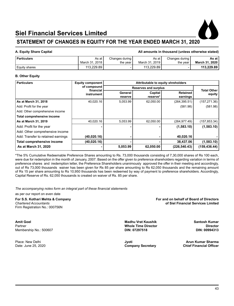

### **STATEMENT OF CHANGES IN EQUITY FOR THE YEAR ENDED MARCH 31, 2020**

#### **A. Equity Share Capital All amounts in thousand (unless otherwise stated)**

| ' Particulars | As at            | Changes during | As at          | Changes during | As at          |
|---------------|------------------|----------------|----------------|----------------|----------------|
|               | March 31, 2018 i | the vear       | March 31, 2019 | the vear       | March 31, 2020 |
| Equity shares | 113.229.89       | -              | 113.229.89     |                | 113.229.89     |

#### **B. Other Equity**

| <b>Particulars</b>                 | <b>Equity component</b>  | Attributable to equity shreholders |                     |                             |                              |  |
|------------------------------------|--------------------------|------------------------------------|---------------------|-----------------------------|------------------------------|--|
|                                    | of compound<br>financial | <b>Reserves and surplus</b>        |                     |                             |                              |  |
|                                    | instrument               | General<br>reserve                 | Capital<br>reserve* | <b>Retained</b><br>earnings | <b>Total Other</b><br>equity |  |
| As at March 31, 2018               | 40,020.16                | 5,053.99                           | 62,050.00           | (264, 395.51)               | (157, 271.36)                |  |
| Add: Profit for the year           |                          |                                    |                     | (581.98)                    | (581.98)                     |  |
| Add: Other comprehensive income    |                          |                                    |                     |                             |                              |  |
| Total comprehensive income         |                          |                                    |                     |                             |                              |  |
| As at March 31, 2019               | 40,020.16                | 5,053.99                           | 62,050.00           | (264, 977.49)               | (157, 853.34)                |  |
| Add: Profit for the year           |                          |                                    |                     | (1,583.10)                  | (1,583.10)                   |  |
| Add: Other comprehensive income    |                          |                                    |                     |                             |                              |  |
| Add: Transfer to retained earnings | (40,020.16)              |                                    |                     | 40,020.16                   |                              |  |
| Total comprehensive income         | (40,020.16)              |                                    |                     | 38,437.06                   | (1,583.10)                   |  |
| As at March 31, 2020               |                          | 5,053.99                           | 62,050.00           | (226, 540.43)               | (159,436.44)                 |  |

\*The 5% Cumulative Redeemable Preference Shares amounting to Rs. 73,000 thousands consisting of 7,30,000 shares of Rs 100 each, were due for redemption in the month of January, 2007. Based on the offer given to preference shareholders regarding variation in terms of preference shares and iredemption letter, the Preference Shareholders unanimously approved the offer in their meeting and accordingly, out of Rs 73,000 thousands waiver has been given for Rs 85 per share amounting to Rs 62,050 thousands and the remaining amount of Rs 15 per share amounting to Rs 10,950 thousands has been redeemed by way of payment to preference shareholders. Accordingly, Capital Reserve of Rs. 62,050 thousands is created on waiver of Rs. 85 per share.

*The accompanying notes form an integral part of these financial statements*

as per our report on even date

Firm Registration No.: 000756N

**Amit Goel Madhu Vrat Kaushik Santosh Kumar Membership No.: 500607** 

**For S.S. Kothari Mehta & Company For and on behalf of Board of Directors**  *Chartered Accountants* **of Siel Financial Services Limited**

Partner **Whole Time Director Director** 

Place: New Delhi **Jyoti Arun Kumar Sharma** Date: June 25, 2020 **Company Secretary Chief Financial Officer**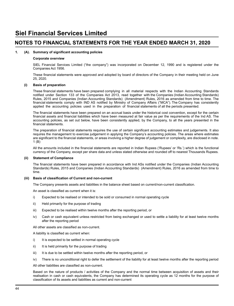#### **1. (A). Summary of significant accounting policies**

#### **Corporate overview**

 SIEL Financial Services Limited ("the company") was incorporated on December 12, 1990 and is registered under the Companies Act 1956.

 These financial statements were approved and adopted by board of directors of the Company in their meeting held on June 25, 2020.

#### **(i) Basis of preparation**

 These financial statements have been prepared complying in all material respects with the Indian Accounting Standards notified under Section 133 of the Companies Act 2013, read together with the Companies (Indian Accounting Standards) Rules, 2015 and Companies (Indian Accounting Standards) (Amendment) Rules, 2016 as amended from time to time. The financial statements comply with IND AS notified by Ministry of Company Affairs ("MCA"). The Company has consistently applied the accounting policies used in the preparation of financial statements of all the periods presented.

 The financial statements have been prepared on an accrual basis under the historical cost convention, except for the certain financial assets and financial liabilities which have been measured at fair value as per the requirements of the Ind AS. The accounting policies, as set out below, have been consistently applied, by the Company, to all the years presented in the financial statements.

 The preparation of financial statements requires the use of certain significant accounting estimates and judgements. It also requires the management to exercise judgement in applying the Company's accounting policies. The areas where estimates are significant to the financial statements, or areas involving a higher degree of judgement or complexity, are disclosed in note. 1 (B)

 All the amounts included in the financial statements are reported in Indian Rupees ('Rupees' or 'Rs.') which is the functional currency of the Company, except per share data and unless stated otherwise and rounded off to nearest Thousands Rupees.

#### **(ii) Statement of Compliance**

 The financial statements have been prepared in accordance with Ind ASs notified under the Companies (Indian Accounting Standards) Rules, 2015 and Companies (Indian Accounting Standards) (Amendment) Rules, 2016 as amended from time to time.

#### **(iii) Basis of classification of Current and non-current**

 The Company presents assets and liabilities in the balance sheet based on current/non-current classification.

 An asset is classified as current when it is:

- i) Expected to be realised or intended to be sold or consumed in normal operating cycle
- ii) Held primarily for the purpose of trading
- iii) Expected to be realised within twelve months after the reporting period, or
- iv) Cash or cash equivalent unless restricted from being exchanged or used to settle a liability for at least twelve months after the reporting period

 All other assets are classified as non-current.

 A liability is classified as current when:

- i) It is expected to be settled in normal operating cycle
- ii) It is held primarily for the purpose of trading
- iii) It is due to be settled within twelve months after the reporting period, or
- iv) There is no unconditional right to defer the settlement of the liability for at least twelve months after the reporting period

 All other liabilities are classified as non-current.

 Based on the nature of products / activities of the Company and the normal time between acquisition of assets and their realisation in cash or cash equivalents, the Company has determined its operating cycle as 12 months for the purpose of classification of its assets and liabilities as current and non-current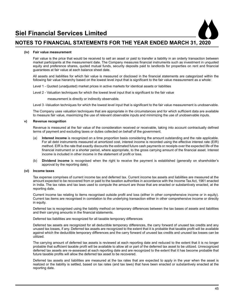

#### **(iv) Fair value measurement**

 Fair value is the price that would be received to sell an asset or paid to transfer a liability in an orderly transaction between market participants at the measurement date. The Company measures financial instruments such as investment in unquoted equity and preference shares, quoted mutual funds, security deposits paid to landlords for properties on rent and financial guarantees at fair value at each balance sheet date.

 All assets and liabilities for which fair value is measured or disclosed in the financial statements are categorized within the following fair value hierarchy based on the lowest level input that is significant to the fair value measurement as a whole:

Level 1 - Quoted (unadjusted) market prices in active markets for identical assets or liabilities

 Level 2 - Valuation techniques for which the lowest level input that is significant to the fair value

measurement is directly or indirectly observable.

 Level 3 -Valuation techniques for which the lowest level input that is significant to the fair value measurement is unobservable.

 The Company uses valuation techniques that are appropriate in the circumstances and for which sufficient data are available to measure fair value, maximizing the use of relevant observable inputs and minimizing the use of unobservable inputs.

#### **v) Revenue recognition**

 Revenue is measured at the fair value of the consideration received or receivable, taking into account contractually defined terms of payment and excluding taxes or duties collected on behalf of the government.

- (a) **Interest income** is recognized on a time proportion basis considering the amount outstanding and the rate applicable. For all debt instruments measured at amortized cost, interest income is recorded using the effective interest rate (EIR) method. EIR is the rate that exactly discounts the estimated future cash payments or receipts over the expected life of the financial instrument or a shorter period, where appropriate, to the gross carrying amount of the financial asset. Interest income is included in other income in the statement of profit or loss.
- (b) **Dividend income** is recognised when the right to receive the payment is established (generally on shareholder's approval by the reporting date).

#### **(vi) Income taxes**

 Tax expense comprises of current income tax and deferred tax. Current income tax assets and liabilities are measured at the amount expected to be recovered from or paid to the taxation authorities in accordance with the Income Tax Act, 1961 enacted in India. The tax rates and tax laws used to compute the amount are those that are enacted or substantively enacted, at the reporting date.

 Current income tax relating to items recognised outside profit and loss (either in other comprehensive income or in equity). Current tax items are recognised in correlation to the underlying transaction either in other comprehensive income or directly in equity.

 Deferred tax is recognised using the liability method on temporary differences between the tax bases of assets and liabilities and their carrying amounts in the financial statements.

#### Deferred tax liabilities are recognized for all taxable temporary differences

 Deferred tax assets are recognized for all deductible temporary differences, the carry forward of unused tax credits and any unused tax losses, if any. Deferred tax assets are recognized to the extent that it is probable that taxable profit will be available against which the deductible temporary differences and the carry forward of unused tax credits and unused tax losses can be utilized.

 The carrying amount of deferred tax assets is reviewed at each reporting date and reduced to the extent that it is no longer probable that sufficient taxable profit will be available to allow all or part of the deferred tax asset to be utilized. Unrecognized deferred tax assets are re-assessed at each reporting date and are recognized to the extent that it has become probable that future taxable profits will allow the deferred tax asset to be recovered.

 Deferred tax assets and liabilities are measured at the tax rates that are expected to apply in the year when the asset is realized or the liability is settled, based on tax rates (and tax laws) that have been enacted or substantively enacted at the reporting date.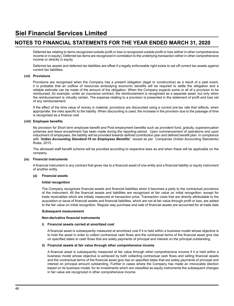Deferred tax relating to items recognized outside profit or loss is recognized outside profit or loss (either in other comprehensive income or in equity). Deferred tax items are recognized in correlation to the underlying transaction either in other comprehensive income or directly in equity.

 Deferred tax assets and deferred tax liabilities are offset if a legally enforceable right exists to set off current tax assets against current tax liabilities.

#### **(vii) Provisions**

 Provisions are recognised when the Company has a present obligation (legal or constructive) as a result of a past event, it is probable that an outflow of resources embodying economic benefits will be required to settle the obligation and a reliable estimate can be made of the amount of the obligation. When the Company expects some or all of a provision to be reimbursed, for example, under an insurance contract, the reimbursement is recognised as a separate asset, but only when the reimbursement is virtually certain. The expense relating to a provision is presented in the statement of profit and loss net of any reimbursement.

 If the effect of the time value of money is material, provisions are discounted using a current pre-tax rate that reflects, when appropriate, the risks specific to the liability. When discounting is used, the increase in the provision due to the passage of time is recognised as a finance cost

#### **(viii) Employee benefits**

 No provision for Short term employee benefit and Post employment benefits such as provident fund, gratuity, superannuation schemes and leave encashment has been made during the reporting period. Upon commencement of operations and upon inductment of employees, the liability will be provided towards defined contribution plan and defined benefit plan in compliance with "*Indian Accounting Standard-19 on Employees Benefits*", issued as per Companies (Indian Accounting Standards) Rules, 2015.

 The aforesaid staff benefit scheme will be provided according to respective laws as and when these will be applicable on the company.

#### **(ix) Financial instruments**

 A financial instrument is any contract that gives rise to a financial asset of one entity and a financial liability or equity instrument of another entity.

#### **(a) Financial assets**

#### **Initial recognition**

 The Company recognizes financial assets and financial liabilities when it becomes a party to the contractual provisions of the instrument. All the financial assets and liabilities are recognized at fair value on initial recognition, except for trade receivables which are initially measured at transaction price. Transaction costs that are directly attributable to the acquisition or issue of financial assets and financial liabilities, which are not at fair value through profit or loss, are added to the fair value on initial recognition. Regular way purchase and sale of financial assets are accounted for at trade date

#### **Subsequent measurement**

#### **Non-derivative financial instruments**

#### **i) Financial assets carried at amortized cost**

 A financial asset is subsequently measured at amortized cost if it is held within a business model whose objective is to hold the asset in order to collect contractual cash flows and the contractual terms of the financial asset give rise on specified dates to cash flows that are solely payments of principal and interest on the principal outstanding.

#### **ii) Financial assets at fair value through other comprehensive income**

 A financial asset is subsequently measured at fair value through other comprehensive income if it is held within a business model whose objective is achieved by both collecting contractual cash flows and selling financial assets and the contractual terms of the financial asset give rise on specified dates that are solely payments of principal and interest on principal amount outstanding. Further in cases where the Company has made an irrevocable election based on its business model, for its investments which are classified as equity instruments the subsequent changes in fair value are recognized in other comprehensive income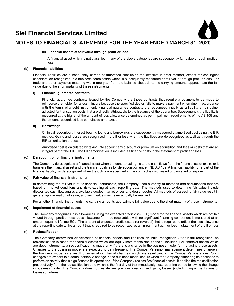

#### **iii) Financial assets at fair value through profit or loss**

 A financial asset which is not classified in any of the above categories are subsequently fair value through profit or loss

#### **(b) Financial liabilities**

 Financial liabilities are subsequently carried at amortized cost using the effective interest method, except for contingent consideration recognized in a business combination which is subsequently measured at fair value through profit or loss. For trade and other payables maturing within one year from the balance sheet date, the carrying amounts approximate the fair value due to the short maturity of these instruments

#### **i) Financial guarantee contracts**

 Financial guarantee contracts issued by the Company are those contracts that require a payment to be made to reimburse the holder for a loss it incurs because the specified debtor fails to make a payment when due in accordance with the terms of a debt instrument. Financial guarantee contracts are recognised initially as a liability at fair value, adjusted for transaction costs that are directly attributable to the issuance of the guarantee. Subsequently, the liability is measured at the higher of the amount of loss allowance determined as per impairment requirements of Ind AS 109 and the amount recognised less cumulative amortization

#### **ii) Borrowings**

 On initial recognition, interest-bearing loans and borrowings are subsequently measured at amortised cost using the EIR method. Gains and losses are recognised in profit or loss when the liabilities are derecognised as well as through the EIR amortisation process.

 Amortised cost is calculated by taking into account any discount or premium on acquisition and fees or costs that are an integral part of the EIR. The EIR amortisation is included as finance costs in the statement of profit and loss.

#### **(c) Derecognition of financial instruments**

 The Company derecognizes a financial asset when the contractual rights to the cash flows from the financial asset expire or it transfers the financial asset and the transfer qualifies for derecognition under IND AS 109. A financial liability (or a part of the financial liability) is derecognized when the obligation specified in the contract is discharged or cancelled or expires.

#### **(d) Fair value of financial instruments**

 In determining the fair value of its financial instruments, the Company uses a variety of methods and assumptions that are based on market conditions and risks existing at each reporting date. The methods used to determine fair value include discounted cash flow analysis, available quoted market prices and dealer quotes. All methods of assessing fair value result in general approximation of value, and such value may never actually be realized.

 For all other financial instruments the carrying amounts approximate fair value due to the short maturity of those instruments

#### **(e) Impairment of financial assets**

 The Company recognizes loss allowances using the expected credit loss (ECL) model for the financial assets which are not fair valued through profit or loss. Loss allowance for trade receivables with no significant financing component is measured at an amount equal to lifetime ECL. The amount of expected credit losses (or reversal) that is required to adjust the loss allowance at the reporting date to the amount that is required to be recognized as an impairment gain or loss in statement of profit or loss

#### **(f) Reclassification**

 The Company determines classification of financial assets and liabilities on initial recognition. After initial recognition, no reclassification is made for financial assets which are equity instruments and financial liabilities. For financial assets which are debt instruments, a reclassification is made only if there is a change in the business model for managing those assets. Changes to the business model are expected to be infrequent. The Company's senior management determines change in the business model as a result of external or internal changes which are significant to the Company's operations. Such changes are evident to external parties. A change in the business model occurs when the Company either begins or ceases to perform an activity that is significant to its operations. If the Company reclassifies financial assets, it applies the reclassification prospectively from the reclassification date which is the first day of the immediately next reporting period following the change in business model. The Company does not restate any previously recognised gains, losses (including impairment gains or losses) or interest.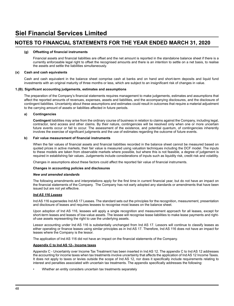#### **(g) Offsetting of financial instruments**

 Financial assets and financial liabilities are offset and the net amount is reported in the standalone balance sheet if there is a currently enforceable legal right to offset the recognised amounts and there is an intention to settle on a net basis, to realise the assets and settle the liabilities simultaneously.

#### **(x) Cash and cash equivalents**

Cash and cash equivalent in the balance sheet comprise cash at banks and on hand and short-term deposits and liquid fund investments with an original maturity of three months or less, which are subject to an insignificant risk of changes in value.

#### **1.(B). Significant accounting judgements, estimates and assumptions**

 The preparation of the Company's financial statements requires management to make judgements, estimates and assumptions that affect the reported amounts of revenues, expenses, assets and liabilities, and the accompanying disclosures, and the disclosure of contingent liabilities. Uncertainty about these assumptions and estimates could result in outcomes that require a material adjustment to the carrying amount of assets or liabilities affected in future periods.

#### **a) Contingencies**

 **Contingent** liabilities may arise from the ordinary course of business in relation to claims against the Company, including legal, contractor, land access and other claims. By their nature, contingencies will be resolved only when one or more uncertain future events occur or fail to occur. The assessment of the existence, and potential quantum, of contingencies inherently involves the exercise of significant judgments and the use of estimates regarding the outcome of future events.

#### **b) Fair value measurement of financial instruments**

 When the fair values of financial assets and financial liabilities recorded in the balance sheet cannot be measured based on quoted prices in active markets, their fair value is measured using valuation techniques including the DCF model. The inputs to these models are taken from observable markets where possible, but where this is not feasible, a degree of judgement is required in establishing fair values. Judgements include considerations of inputs such as liquidity risk, credit risk and volatility.

 Changes in assumptions about these factors could affect the reported fair value of financial instruments.

#### **Changes in accounting policies and disclosures**

#### *New and amended standards*

 The following amendments and interpretations apply for the first time in current financial year, but do not have an impact on the financial statements of the Company. The Company has not early adopted any standards or amendments that have been issued but are not yet effective.

#### *Ind AS 116 Leases*

 Ind AS 116 supersedes Ind AS 17 Leases. The standard sets out the principles for the recognition, measurement, presentation and disclosure of leases and requires lessees to recognise most leases on the balance sheet.

 Upon adoption of Ind AS 116, lessees will apply a single recognition and measurement approach for all leases, except for short-term leases and leases of low-value assets. The lessee will recognise lease liabilities to make lease payments and rightof-use assets representing the right to use the underlying assets.

 Lessor accounting under Ind AS 116 is substantially unchanged from Ind AS 17. Lessors will continue to classify leases as either operating or finance leases using similar principles as in Ind AS 17. Therefore, Ind AS 116 does not have an impact for leases where the Company is the lessor.

 The application of Ind AS 116 did not have an impact on the financial statements of the Company.

#### **Appendix C to Ind AS 12– Income taxes**

 Appendix C - Uncertainty over Income Tax Treatment has been inserted in Ind AS 12. The appendix C to Ind AS 12 addresses the accounting for income taxes when tax treatments involve uncertainty that affects the application of Ind AS 12 Income Taxes. It does not apply to taxes or levies outside the scope of Ind AS 12, nor does it specifically include requirements relating to interest and penalties associated with uncertain tax treatments. The appendix specifically addresses the following:

• Whether an entity considers uncertain tax treatments separately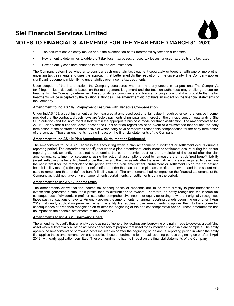- The assumptions an entity makes about the examination of tax treatments by taxation authorities
- How an entity determines taxable profit (tax loss), tax bases, unused tax losses, unused tax credits and tax rates
- How an entity considers changes in facts and circumstances

 The Company determines whether to consider each uncertain tax treatment separately or together with one or more other uncertain tax treatments and uses the approach that better predicts the resolution of the uncertainty. The Company applies significant judgement in identifying uncertainties over income tax treatments.

 Upon adoption of the Interpretation, the Company considered whether it has any uncertain tax positions. The Company's tax filings include deductions based on the management judgement and the taxation authorities may challenge those tax treatments. The Company determined, based on its tax compliance and transfer pricing study, that it is probable that its tax treatments will be accepted by the taxation authorities. The amendment did not have an impact on the financial statements of the Company.

#### **Amendment to Ind AS 109: Prepayment Features with Negative Compensation**

 Under Ind AS 109, a debt instrument can be measured at amortised cost or at fair value through other comprehensive income, provided that the contractual cash flows are 'solely payments of principal and interest on the principal amount outstanding' (the SPPI criterion) and the instrument is held within the appropriate business model for that classification. The amendments to Ind AS 109 clarify that a financial asset passes the SPPI criterion regardless of an event or circumstance that causes the early termination of the contract and irrespective of which party pays or receives reasonable compensation for the early termination of the contract. These amendments had no impact on the financial statements of the Company.

#### **Amendment to Ind AS 19: Plan Amendment, Curtailment or Settlement**

 The amendments to Ind AS 19 address the accounting when a plan amendment, curtailment or settlement occurs during a reporting period. The amendments specify that when a plan amendment, curtailment or settlement occurs during the annual reporting period, an entity is required to determine the current service cost for the remainder of the period after the plan amendment, curtailment or settlement, using the actuarial assumptions used to remeasure the net defined benefit liability (asset) reflecting the benefits offered under the plan and the plan assets after that event. An entity is also required to determine the net interest for the remainder of the period after the plan amendment, curtailment or settlement using the net defined benefit liability (asset) reflecting the benefits offered under the plan and the plan assets after that event, and the discount rate used to remeasure that net defined benefit liability (asset). The amendments had no impact on the financial statements of the Company as it did not have any plan amendments, curtailments, or settlements during the period.

#### **Amendments to Ind AS 12 Income taxes**

 The amendments clarify that the income tax consequences of dividends are linked more directly to past transactions or events that generated distributable profits than to distributions to owners. Therefore, an entity recognises the income tax consequences of dividends in profit or loss, other comprehensive income or equity according to where it originally recognised those past transactions or events. An entity applies the amendments for annual reporting periods beginning on or after 1 April 2019, with early application permitted. When the entity first applies those amendments, it applies them to the income tax consequences of dividends recognised on or after the beginning of the earliest comparative period. These amendments had no impact on the financial statements of the Company.

#### **Amendments to Ind AS 23 Borrowing Costs**

 The amendments clarify that an entity treats as part of general borrowings any borrowing originally made to develop a qualifying asset when substantially all of the activities necessary to prepare that asset for its intended use or sale are complete. The entity applies the amendments to borrowing costs incurred on or after the beginning of the annual reporting period in which the entity first applies those amendments. An entity applies those amendments for annual reporting periods beginning on or after 1 April 2019, with early application permitted. These amendments had no impact on the financial statements of the Company.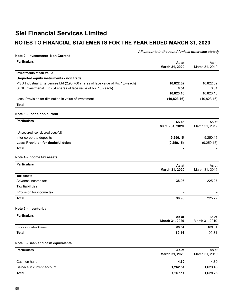### **NOTES TO FINANCIAL STATEMENTS FOR THE YEAR ENDED MARCH 31, 2020**

|                                                                                  | All amounts in thousand (unless otherwise stated) |                         |
|----------------------------------------------------------------------------------|---------------------------------------------------|-------------------------|
| Note 2 - Investments- Non Current<br><b>Particulars</b>                          | As at<br>March 31, 2020                           | As at<br>March 31, 2019 |
| Investments at fair value                                                        |                                                   |                         |
| Unquoted equity instruments - non trade                                          |                                                   |                         |
| MSD Industrial Enterperises Ltd (2,95,700 shares of face value of Rs. 10/- each) | 10,822.62                                         | 10,822.62               |
| SFSL Investmenst Ltd (54 shares of face value of Rs. 10/- each)                  | 0.54                                              | 0.54                    |
|                                                                                  | 10,823.16                                         | 10,823.16               |
| Less: Provision for diminution in value of investment                            | (10,823.16)                                       | (10,823.16)             |
| Total                                                                            | $\blacksquare$                                    |                         |
| Note 3 - Loans-non current                                                       |                                                   |                         |
| <b>Particulars</b>                                                               | As at                                             | As at                   |
|                                                                                  | March 31, 2020                                    | March 31, 2019          |
| (Unsecured, considered doubful)                                                  |                                                   |                         |
| Inter corporate deposits                                                         | 9,250.15                                          | 9,250.15                |
| Less: Provision for doubtful debts                                               | (9,250.15)                                        | (9,250.15)              |
| Total                                                                            | $\blacksquare$                                    |                         |
| Note 4 - Income tax assets                                                       |                                                   |                         |
| <b>Particulars</b>                                                               | As at<br>March 31, 2020                           | As at<br>March 31, 2019 |
| <b>Tax assets</b>                                                                |                                                   |                         |
| Advance income tax                                                               | 38.96                                             | 225.27                  |
| <b>Tax liabilities</b>                                                           |                                                   |                         |
| Provision for income tax                                                         |                                                   |                         |
| <b>Total</b>                                                                     | 38.96                                             | 225.27                  |
| Note 5 - Inventories                                                             |                                                   |                         |
| <b>Particulars</b>                                                               | As at<br>March 31, 2020                           | As at<br>March 31, 2019 |
| Stock in trade-Shares                                                            | 69.54                                             | 109.31                  |
| <b>Total</b>                                                                     | 69.54                                             | 109.31                  |
| Note 6 - Cash and cash equivalents                                               |                                                   |                         |
| <b>Particulars</b>                                                               | As at<br>March 31, 2020                           | As at<br>March 31, 2019 |
| Cash on hand                                                                     | 4.60                                              | 4.80                    |
| Balnace in current account                                                       | 1,262.51                                          | 1,623.46                |
| <b>Total</b>                                                                     | 1,267.11                                          | 1,628.26                |
|                                                                                  |                                                   |                         |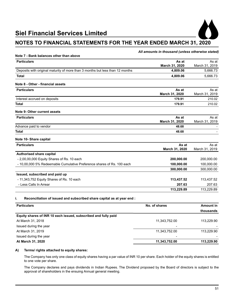

### **NOTES TO FINANCIAL STATEMENTS FOR THE YEAR ENDED MARCH 31, 2020**

#### *All amounts in thousand (unless otherwise stated)*

| Note 7 - Bank balances other than above                                       |                         |                         |
|-------------------------------------------------------------------------------|-------------------------|-------------------------|
| <b>Particulars</b>                                                            | As at<br>March 31, 2020 | As at<br>March 31, 2019 |
| Deposits with original maturity of more than 3 months but less than 12 months | 4,809.06                | 5,666.73                |
| Total                                                                         | 4,809.06                | 5.666.73                |
| Note 8 - Other - financial assets                                             |                         |                         |
| <b>Particulars</b>                                                            | As at<br>March 31, 2020 | As at<br>March 31, 2019 |
| Interest accrued on deposits                                                  | 179.91                  | 210.02                  |
| <b>Total</b>                                                                  | 179.91                  | 210.02                  |
| Note 9- Other current assets                                                  |                         |                         |
| <b>Particulars</b>                                                            | As at<br>March 31, 2020 | As at<br>March 31, 2019 |
| Advance paid to vendor                                                        | 48.68                   |                         |
| Total                                                                         | 48.68                   |                         |
| Note 10- Share capital                                                        |                         |                         |
| <b>Particulars</b>                                                            | As at<br>March 31, 2020 | As at<br>March 31, 2019 |
| Authorised share capital                                                      |                         |                         |
| - 2,00,00,000 Equity Shares of Rs. 10 each                                    | 200,000.00              | 200,000.00              |
| - 10,00,000 5% Redeemable Cumulative Preference shares of Rs. 100 each        | 100,000.00              | 100,000.00              |
|                                                                               | 300,000.00              | 300,000.00              |
| Issued, subscribed and paid up                                                |                         |                         |
| - 11,343,752 Equity Shares of Rs. 10 each                                     | 113,437.52              | 113,437.52              |
| - Less Calls In Arrear                                                        | 207.63                  | 207.63                  |
|                                                                               | 113,229.89              | 113,229.89              |

#### **i. Reconciliation of issued and subscribed share capital as at year end :**

| <b>Particulars</b>                                             | No. of shares | Amount in  |
|----------------------------------------------------------------|---------------|------------|
|                                                                |               | thousands  |
| Equity shares of INR 10 each issued, subscribed and fully paid |               |            |
| At March 31, 2018                                              | 11.343.752.00 | 113.229.90 |
| Issued during the year                                         |               |            |
| At March 31, 2019                                              | 11,343,752.00 | 113.229.90 |
| Issued during the year                                         |               |            |
| At March 31, 2020                                              | 11,343,752.00 | 113,229.90 |

#### **A) Terms/ rights attached to equity shares:**

The Company has only one class of equity shares having a par value of INR 10 per share. Each holder of the equity shares is entitled to one vote per share.

The Company declares and pays dividends in Indian Rupees. The Dividend proposed by the Board of directors is subject to the approval of shareholders in the ensuing Annual general meeting.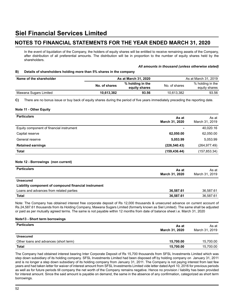### **NOTES TO FINANCIAL STATEMENTS FOR THE YEAR ENDED MARCH 31, 2020**

In the event of liquidation of the Company, the holders of equity shares will be entitled to receive remaining assets of the Company, after distribution of all preferential amounts. The distribution will be in proportion to the number of equity shares held by the shareholders.

#### *All amounts in thousand (unless otherwise stated)*

#### **B) Details of shareholders holding more than 5% shares in the company**

| Name of the shareholder |               | As at March 31, 2020              |               | As at March 31, 2019              |
|-------------------------|---------------|-----------------------------------|---------------|-----------------------------------|
|                         | No. of shares | % holding in the<br>equity shares | No. of shares | % holding in the<br>equity shares |
| Mawana Sugars Limited   | 10.613.382    | 93.56                             | 10.613.382    | 93.56                             |

**C)** There are no bonus issue or buy back of equity shares during the period of five years immediately preceding the reporting date.

#### **Note 11 - Other Equity**

| <b>Particulars</b>                       | As at<br>March 31, 2020 | As at<br>March 31, 2019 |
|------------------------------------------|-------------------------|-------------------------|
| Equity component of financial instrument |                         | 40,020.16               |
| Capital reserve                          | 62,050.00               | 62,050.00               |
| General reserve                          | 5,053.99                | 5,053.99                |
| <b>Retained earnings</b>                 | (226, 540.43)           | (264, 977.49)           |
| Total                                    | (159, 436.44)           | (157, 853.34)           |
|                                          |                         |                         |

#### **Note 12 - Borrowings (non current)**

| <b>Particulars</b>                                   | As at<br>March 31, 2020 | As at<br>March 31, 2019 |
|------------------------------------------------------|-------------------------|-------------------------|
| <b>Unsecured</b>                                     |                         |                         |
| Liability component of compound financial instrument |                         |                         |
| Loans and advances from related parties              | 36.587.61               | 36,587.61               |
| <b>Total</b>                                         | 36.587.61               | 36.587.61               |

Note: The Company has obtained interest free corporate deposit of Rs 12,000 thousands & unsecured advance on current account of Rs.24,587.61 thousands from its Holding Company, Mawana Sugars Limited (formerly known as Siel Limited). The same shall be adjusted or paid as per mutually agreed terms. The same is not payable within 12 months from date of balance sheet i.e. March 31, 2020

#### **Note13 - Short term borrowings**

| <b>Particulars</b>                    | As at<br>March 31, 2020 | As at<br>March 31, 2019 |
|---------------------------------------|-------------------------|-------------------------|
| <b>Unsecured</b>                      |                         |                         |
| Other loans and advances (short term) | 15,700.00               | 15,700.00               |
| <b>Total</b>                          | 15,700.00               | 15,700.00               |

The Company had obtained interest bearing Inter Corporate Deposit of Rs 15,700 thousands from SFSL Investments Limited which was step down subsidiary of its holding company. SFSL Investments Limited had been disposed off by holding company on January 31, 2011 and is no longer a step down subsidiary of its holding company from January 31, 2011. The Company is not paying interest from last few years and had taken letter for waiver of interest amount from SFSL Investments Limited vide letter dated April 10, 2016 for previous periods as well as for future periods till company the net worth of the Company remains negative. Hence no provision / liability has been provided for interest amount. Since the said amount is payable on demand, the same in the absence of any confirmation, categorized as short term borrowings.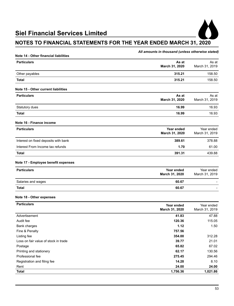

### **NOTES TO FINANCIAL STATEMENTS FOR THE YEAR ENDED MARCH 31, 2020**

#### *All amounts in thousand (unless otherwise stated)*

| Note 14 - Other financial liabilities |                              |                              |
|---------------------------------------|------------------------------|------------------------------|
| <b>Particulars</b>                    | As at<br>March 31, 2020      | As at<br>March 31, 2019      |
| Other payables                        | 315.21                       | 158.50                       |
| <b>Total</b>                          | 315.21                       | 158.50                       |
| Note 15 - Other current liabilities   |                              |                              |
| <b>Particulars</b>                    | As at<br>March 31, 2020      | As at<br>March 31, 2019      |
| Statutory dues                        | 16.99                        | 16.93                        |
| <b>Total</b>                          | 16.99                        | 16.93                        |
| Note 16 - Finance income              |                              |                              |
| <b>Particulars</b>                    | Year ended<br>March 31, 2020 | Year ended<br>March 31, 2019 |
| Interest on fixed deposits with bank  | 389.61                       | 378.88                       |
| Interest From Income tax refunds      | 1.70                         | 61.00                        |
| <b>Total</b>                          | 391.31                       | 439.88                       |
| Note 17 - Employee benefit expenses   |                              |                              |
| <b>Particulars</b>                    | Year ended<br>March 31, 2020 | Year ended<br>March 31, 2019 |
| Salaries and wages                    | 60.67                        |                              |
| <b>Total</b>                          | 60.67                        |                              |
| Note 18 - Other expenses              |                              |                              |
| <b>Particulars</b>                    | Year ended<br>March 31, 2020 | Year ended<br>March 31, 2019 |
| Advertisement                         | 41.83                        | 47.88                        |
| Audit fee                             | 120.36                       | 115.05                       |
| Bank charges                          | 1.12                         | 1.50                         |
| Fine & Penalty                        | 757.56                       |                              |
| Listing fee                           | 354.00                       | 312.28                       |
| Loss on fair value of stock in trade  | 39.77                        | 21.01                        |
| Postage                               | 65.82                        | 67.02                        |
| Printing and stationery               | 62.17                        | 130.56                       |
| Professional fee                      | 275.45                       | 294.46                       |
| Registration and filing fee           | 14.28                        | 8.10                         |
| Rent                                  | 24.00                        | 24.00                        |
| Total                                 | 1,756.36                     | 1,021.86                     |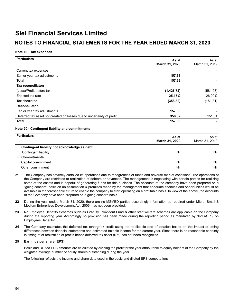#### **Note 19 - Tax expenses**

| <b>Particulars</b>                                                    | As at          | As at          |  |
|-----------------------------------------------------------------------|----------------|----------------|--|
|                                                                       | March 31, 2020 | March 31, 2019 |  |
| Current tax expenses                                                  |                |                |  |
| Earlier year tax adjustments                                          | 157.38         |                |  |
| Total                                                                 | 157.38         |                |  |
| <b>Tax reconciliaton</b>                                              |                |                |  |
| (Loss)/Profit before tax                                              | (1,425.72)     | (581.98)       |  |
| Enacted tax rate                                                      | 25.17%         | 26.00%         |  |
| Tax should be                                                         | (358.82)       | (151.31)       |  |
| Reconciliaton                                                         |                |                |  |
| Earlier year tax adjustments                                          | 157.38         |                |  |
| Deferred tax asset not created on losses due to uncertainty of profit | 358.82         | 151.31         |  |
| Total                                                                 | 157.38         |                |  |

#### **Note 20 - Contingent liability and commitments**

| <b>Particulars</b> | As at<br>March 31, 2020                         | As at<br>March 31, 2019 |
|--------------------|-------------------------------------------------|-------------------------|
|                    | i) Contingent liability not acknowledge as debt |                         |
|                    | Contingent liability<br>Nil                     | Nil                     |
| ii) Commitments    |                                                 |                         |
|                    | Capital commitment<br>Nil                       | Nil                     |
|                    | Other commitment                                | Nil<br>Nil              |

- **21** The Company has severely curtailed its operations due to meagreness of funds and adverse market conditions. The operations of the Company are restricted to realization of debtors or advances. The management is negotiating with certain parties for realizing some of the assets and is hopeful of generating funds for this business. The accounts of the company have been prepared on a "going concern" basis on an assumption & promises made by the management that adequate finances and opportunities would be available in the foreseeable future to enable the company to start operating on a profitable basis. In view of the above, the accounts of the Company have been prepared on a going concern basis.
- **22** During the year ended March 31, 2020, there are no MSMED parties accordingly information as required under Micro, Small & Medium Enterprises Development Act, 2006, has not been provided.
- **23** No Employee Benefits Schemes such as Gratuity, Provident Fund & other staff welfare schemes are applicable on the Company during the reporting year. Accordingly no provision has been made during the reporting period as mandated by "Ind AS 19 on Employees Benefits".
- **24** The Company estimates the deferred tax (charge) / credit using the applicable rate of taxation based on the impact of timing differences between financial statements and estimated taxable income for the current year. Since there is no reasonable certainty in timing of of realization of profits hence deferred tax asset (Net) has not been recognized.

#### **25 Earnings per share (EPS)**

 Basic and Diluted EPS amounts are calculated by dividing the profit for the year attributable to equity holders of the Company by the weighted average number of equity shares outstanding during the year.

 The following reflects the income and share data used in the basic and diluted EPS computations: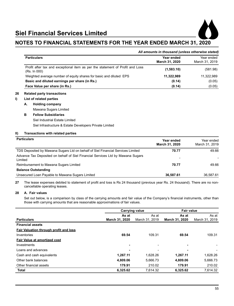

#### *All amounts in thousand (unless otherwise stated)*

| <b>Particulars</b>                                                                            | Year ended<br>March 31, 2020 | Year ended<br>March 31, 2019 |
|-----------------------------------------------------------------------------------------------|------------------------------|------------------------------|
| Profit after tax and exceptional item as per the statement of Profit and Loss<br>(Rs. In 000) | (1,583.10)                   | (581.98)                     |
| Weighted average number of equity shares for basic and diluted EPS                            | 11,322,989                   | 11,322,989                   |
| Basic and diluted earnings per share (in Rs.)                                                 | (0.14)                       | (0.05)                       |
| Face Value per share (in Rs.)                                                                 | (0.14)                       | (0.05)                       |

#### **26 Related party transactions**

#### **I) List of related parties**

**A. Holding company** 

Mawana Sugars Limited

#### **B Fellow Subsidiaries**  Siel Industrial Estate Limited

Siel Infrastructure & Estate Developers Private Limited

#### **II) Transactions with related parties**

| <b>Particulars</b>                                                                         | Year ended<br>March 31, 2020 | Year ended<br>March 31, 2019 |
|--------------------------------------------------------------------------------------------|------------------------------|------------------------------|
| TDS Deposited by Mawana Sugars Ltd on behalf of Siel Financial Services Limited            | 70.77                        | 49.66                        |
| Advance Tax Deposited on behalf of Siel Financial Services Ltd by Mawana Sugars<br>Limited | -                            |                              |
| Reimbursement to Mawana Sugars Limited                                                     | 70.77                        | 49.66                        |
| <b>Balance Outstanding</b>                                                                 |                              |                              |
| Unsecured Loan Payable to Mawana Sugars Limited                                            | 36,587.61                    | 36.587.61                    |

**27** The lease expenses debited to statement of profit and loss is Rs 24 thousand (previous year Rs. 24 thousand). There are no noncancellable operating leases.

#### **28 A. Fair values**

 Set out below, is a comparison by class of the carrying amounts and fair value of the Company's financial instruments, other than those with carrying amounts that are reasonable approximations of fair values.

|                                        | <b>Carrying value</b> |                | <b>Fair value</b> |                |
|----------------------------------------|-----------------------|----------------|-------------------|----------------|
|                                        | As at                 | As at          | As at             | As at          |
| <b>Particulars</b>                     | March 31, 2020        | March 31, 2019 | March 31, 2020    | March 31, 2019 |
| <b>Financial assets</b>                |                       |                |                   |                |
| Fair Valuation through profit and loss |                       |                |                   |                |
| Inventories                            | 69.54                 | 109.31         | 69.54             | 109.31         |
| Fair Value at amortized cost           |                       |                |                   |                |
| Investments                            | -                     | ٠              | $\blacksquare$    |                |
| Loans and advances                     | -                     | ٠              | -                 |                |
| Cash and cash equivalents              | 1,267.11              | 1.628.26       | 1.267.11          | 1,628.26       |
| Other bank balances                    | 4.809.06              | 5.666.73       | 4,809.06          | 5.666.73       |
| Other financial assets                 | 179.91                | 210.02         | 179.91            | 210.02         |
| Total                                  | 6,325.62              | 7,614.32       | 6,325.62          | 7.614.32       |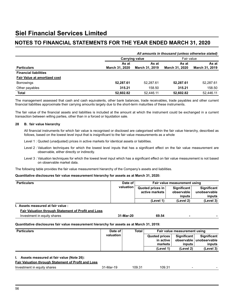| All amounts in thousand (unless otherwise stated) |                |                       |                |                       |  |
|---------------------------------------------------|----------------|-----------------------|----------------|-----------------------|--|
|                                                   |                | <b>Carrying value</b> |                | Fair value            |  |
|                                                   | As at          | As at                 |                | As at                 |  |
| <b>Particulars</b>                                | March 31, 2020 | March 31, 2019        | March 31, 2020 | <b>March 31, 2019</b> |  |
| <b>Financial liabilities</b>                      |                |                       |                |                       |  |
| <b>Fair Value at amortized cost</b>               |                |                       |                |                       |  |
| <b>Borrowings</b>                                 | 52.287.61      | 52.287.61             | 52.287.61      | 52,287.61             |  |
| Other payables                                    | 315.21         | 158.50                | 315.21         | 158.50                |  |
| <b>Total</b>                                      | 52.602.82      | 52.446.11             | 52.602.82      | 52.446.11             |  |

The management assessed that cash and cash equivalents, other bank balances, trade receivables, trade payables and other current financial liabilities approximate their carrying amounts largely due to the short-term maturities of these instruments.

The fair value of the financial assets and liabilities is included at the amount at which the instrument could be exchanged in a current transaction between willing parties, other than in a forced or liquidation sale.

#### **28 B. fair value hierarchy**

 All financial instruments for which fair value is recognised or disclosed are categorised within the fair value hierarchy, described as follows, based on the lowest level input that is insignificant to the fair value measurements as a whole 

- Level 1 : Quoted (unadjusted) prices in active markets for identical assets or liabilities.
- Level 2 : Valuation techniques for which the lowest level inputs that has a significant effect on the fair value measurement are observable, either directly or indirectly.
- Level 3 : Valuation techniques for which the lowest level input which has a significant effect on fair value measurement is not based on observable market data.

The following table provides the fair value measurement hierarchy of the Company's assets and liabilities.

#### **Quantitative disclosures fair value measurement hierarchy for assets as at March 31, 2020:**

| <b>Particulars</b>                                         | Date of   |                    | Fair value measurement using |                      |                              |                    |
|------------------------------------------------------------|-----------|--------------------|------------------------------|----------------------|------------------------------|--------------------|
|                                                            |           | valuation          | Quoted prices in             |                      | <b>Significant</b>           | Significant        |
|                                                            |           |                    |                              | active markets       | observable                   | unobservable       |
|                                                            |           |                    |                              |                      | inputs                       | inputs             |
|                                                            |           |                    |                              | (Level 1)            | (Level 2)                    | (Level 3)          |
| l. Assets measured at fair value :                         |           |                    |                              |                      |                              |                    |
| Fair Valuation through Statement of Profit and Loss        |           |                    |                              |                      |                              |                    |
| Investment in equity shares                                |           | 31-Mar-20<br>69.54 |                              |                      |                              |                    |
| <b>Particulars</b>                                         | Date of   |                    | Total                        |                      | Fair value measurement using |                    |
|                                                            | valuation |                    |                              | <b>Quoted prices</b> | <b>Significant</b>           | <b>Significant</b> |
|                                                            |           |                    |                              | in active            | observable                   | unobservable       |
|                                                            |           |                    |                              | markets              | inputs                       | inputs             |
|                                                            |           |                    |                              | (Level 1)            | (Level 2)                    | (Level 3)          |
| I. Assets measured at fair value (Note 26):                |           |                    |                              |                      |                              |                    |
| <b>Fair Valuation through Statement of Profit and Loss</b> |           |                    |                              |                      |                              |                    |
| Investment in equity shares                                | 31-Mar-19 |                    |                              | 109.31               |                              |                    |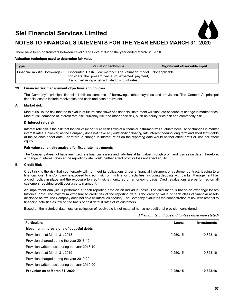

There have been no transfers between Level 1 and Level 2 during the year ended March 31, 2020

#### **Valuation technique used to determine fair value**

| <b>Type</b>                       | <b>Valuation technique</b>                                                                                                                                                | Significant observable input |  |
|-----------------------------------|---------------------------------------------------------------------------------------------------------------------------------------------------------------------------|------------------------------|--|
| Financial liabilitie (Borrowings) | Discounted Cash Flow method: The valuation model   Not applicable<br>considers the present value of expected payment,<br>discounted using a risk adjusted discount rates. |                              |  |

#### **29 Financial risk management objectives and policies**

 The Company's principal financial liabilities comprise of borrowings, other payables and provisions. The Company's principal financial assets include receivables and cash and cash equivalent. 

#### **A. Market risk**

 Market risk is the risk that the fair value of future cash flows of a financial instrument will fluctuate because of change in market price. Market risk comprise of interest rate risk, currency risk and other price risk, such as equity price risk and commodity risk.

#### **i) Interest rate risk**

 Interest rate risk is the risk that the fair value or future cash flows of a financial instrument will fluctuate because of changes in market interest rates. However, as the Company does not have any outstanding floating rate interest bearing long term and short term debts at the balance sheet date. Therefore, a change in interest rates on the reporting date would neither affect profit or loss nor affect equity.

#### **Fair value sensitivity analysis for fixed rate instruments**

 The Company does not have any fixed rate financial assets and liabilities at fair value through profit and loss as on date. Therefore, a change in interest rates at the reporting date would neither affect profit or loss not affect equity. 

#### **B. Credit Risk**

 Credit risk is the risk that counterparty will not meet its obligations under a financial instrument or customer contract, leading to a financial loss. The Company is exposed to credit risk from its financing activities, including deposits with banks. Management has a credit policy in place and the exposure to credit risk is monitored on an ongoing basis. Credit evaluations are performed on all customers requiring credit over a certain amount.

An impairment analysis is performed at each reporting date on an individual basis. The calculation is based on exchange losses historical data. The maximum exposure to credit risk at the reporting date is the carrying value of each class of financial assets disclosed below. The Company does not hold collateral as security. The Company evaluates the concentration of risk with respect to financing activities as low on the basis of past default rates of its customers. 

Based on the historical data, loss on collection of receivable is not material hence no additional provision considered.

#### *All amounts in thousand (unless otherwise stated)*

| <b>Particulars</b>                             | Loans    | Investments |
|------------------------------------------------|----------|-------------|
| Movement in provisions of doubtful debts       |          |             |
| Provision as at March 31, 2018                 | 9,250.15 | 10,823.16   |
| Provision charged during the year 2018-19      |          |             |
| Provision written back during the year 2018-19 |          |             |
| Provision as at March 31, 2019                 | 9.250.15 | 10.823.16   |
| Provision charged during the year 2019-20      |          |             |
| Provision written back during the year 2019-20 |          |             |
| Provision as at March 31, 2020                 | 9.250.15 | 10.823.16   |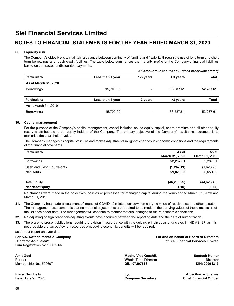#### **C. Liquidity risk**

 The Company's objective is to maintain a balance between continuity of funding and flexibility through the use of long term and short term borrowings and cash credit facilities. The table below summarises the maturity profile of the Company's financial liabilities based on contracted undiscounted payments.

|                      |                  | All amounts in thousand (unless otherwise stated) |           |              |  |
|----------------------|------------------|---------------------------------------------------|-----------|--------------|--|
| <b>Particulars</b>   | Less then 1 year | 1-3 years                                         | >3 years  | <b>Total</b> |  |
| As at March 31, 2020 |                  |                                                   |           |              |  |
| <b>Borrowings</b>    | 15,700.00        |                                                   | 36,587.61 | 52,287.61    |  |
| <b>Particulars</b>   | Less then 1 year | 1-3 years                                         | >3 years  | <b>Total</b> |  |
| As at March 31, 2019 |                  |                                                   |           |              |  |
| <b>Borrowings</b>    | 15,700.00        |                                                   | 36.587.61 | 52,287.61    |  |

#### **30. Capital management**

For the purpose of the Company's capital management, capital includes issued equity capital, share premium and all other equity reserves attributable to the equity holders of the Company. The primary objective of the Company's capital management is to maximise the shareholder value.

The Company manages its capital structure and makes adjustments in light of changes in economic conditions and the requirements of the financial covenants. 

| <b>Particulars</b>        | As at          | As at          |
|---------------------------|----------------|----------------|
|                           | March 31, 2020 | March 31, 2019 |
| <b>Borrowings</b>         | 52,287.61      | 52,287.61      |
| Cash and Cash Equivalents | (1, 267.11)    | (1,628.26)     |
| <b>Net Debts</b>          | 51,020.50      | 50,659.35      |
|                           |                |                |
| <b>Total Equity</b>       | (46, 206.55)   | (44, 623.45)   |
| Net debt/Equity           | (1.10)         | (1.14)         |

No changes were made in the objectives, policies or processes for managing capital during the years ended March 31, 2020 and March 31, 2019.

**31.** The Company has made assessment of impact of COVID 19 related lockdown on carrying value of receivables and other assets. The management assessment is that no material adjustments are required to be made in the carrying values of these assets as of the Balance sheet date. The management will continue to monitor material changes to future economic conditions.

**32.** No adjusting or significant non-adjusting events have occurred between the reporting date and the date of authorization. 

**33.** There are no present obligations requiring provision in accordance with the guiding principles as enunciated in IND AS -37, as it is not probable that an outflow of resources embodying economic benefits will be required.

as per our report on even date

Firm Registration No.: 000756N

**Amit Goel Madhu Vrat Kaushik Santosh Kumar**  Membership No.: 500607 **DIN: 07297518 DIN: 00994313**

**For S.S. Kothari Mehta & Company For and on behalf of Board of Directors**  *Chartered Accountants* **of Siel Financial Services Limited**

Partner **Whole Time Director Director** 

Date: June 25, 2020 **Company Secretary Company Secretary** 

Place: New Delhi **Jyoti Arun Kumar Sharma**